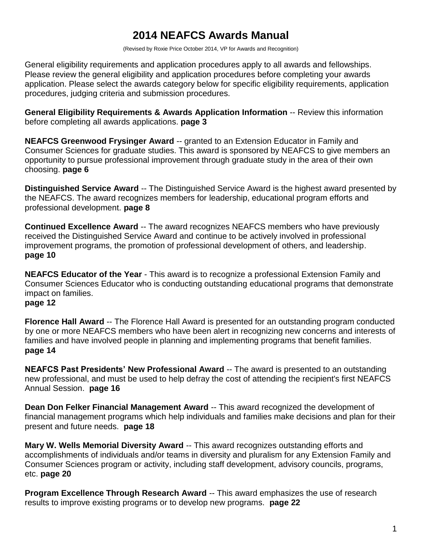# **2014 NEAFCS Awards Manual**

(Revised by Roxie Price October 2014, VP for Awards and Recognition)

General eligibility requirements and application procedures apply to all awards and fellowships. Please review the general eligibility and application procedures before completing your awards application. Please select the awards category below for specific eligibility requirements, application procedures, judging criteria and submission procedures.

**General Eligibility Requirements & Awards Application Information** -- Review this information before completing all awards applications. **page 3**

**NEAFCS Greenwood Frysinger Award --** granted to an Extension Educator in Family and Consumer Sciences for graduate studies. This award is sponsored by NEAFCS to give members an opportunity to pursue professional improvement through graduate study in the area of their own choosing. **page 6**

**Distinguished Service Award** -- The Distinguished Service Award is the highest award presented by the NEAFCS. The award recognizes members for leadership, educational program efforts and professional development. **page 8**

**Continued Excellence Award** -- The award recognizes NEAFCS members who have previously received the Distinguished Service Award and continue to be actively involved in professional improvement programs, the promotion of professional development of others, and leadership. **page 10**

**NEAFCS Educator of the Year** - This award is to recognize a professional Extension Family and Consumer Sciences Educator who is conducting outstanding educational programs that demonstrate impact on families. **page 12**

**Florence Hall Award** -- The Florence Hall Award is presented for an outstanding program conducted by one or more NEAFCS members who have been alert in recognizing new concerns and interests of families and have involved people in planning and implementing programs that benefit families. **page 14**

**NEAFCS Past Presidents' New Professional Award** -- The award is presented to an outstanding new professional, and must be used to help defray the cost of attending the recipient's first NEAFCS Annual Session. **page 16**

**Dean Don Felker Financial Management Award** -- This award recognized the development of financial management programs which help individuals and families make decisions and plan for their present and future needs. **page 18**

**Mary W. Wells Memorial Diversity Award -- This award recognizes outstanding efforts and** accomplishments of individuals and/or teams in diversity and pluralism for any Extension Family and Consumer Sciences program or activity, including staff development, advisory councils, programs, etc. **page 20**

**Program Excellence Through Research Award -- This award emphasizes the use of research** results to improve existing programs or to develop new programs. **page 22**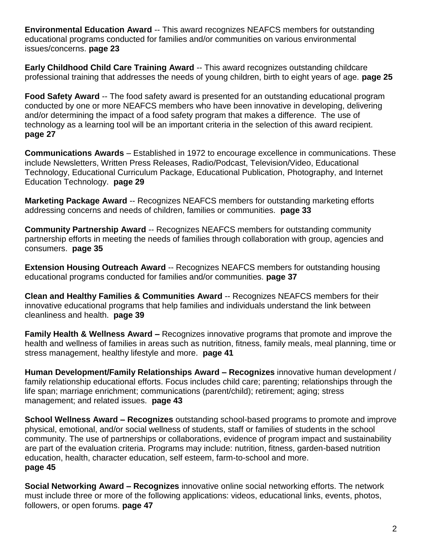**Environmental Education Award** -- This award recognizes NEAFCS members for outstanding educational programs conducted for families and/or communities on various environmental issues/concerns. **page 23**

**Early Childhood Child Care Training Award** -- This award recognizes outstanding childcare professional training that addresses the needs of young children, birth to eight years of age. **page 25**

**Food Safety Award** -- The food safety award is presented for an outstanding educational program conducted by one or more NEAFCS members who have been innovative in developing, delivering and/or determining the impact of a food safety program that makes a difference. The use of technology as a learning tool will be an important criteria in the selection of this award recipient. **page 27**

**Communications Awards** – Established in 1972 to encourage excellence in communications. These include Newsletters, Written Press Releases, Radio/Podcast, Television/Video, Educational Technology, Educational Curriculum Package, Educational Publication, Photography, and Internet Education Technology. **page 29**

**Marketing Package Award -- Recognizes NEAFCS members for outstanding marketing efforts** addressing concerns and needs of children, families or communities. **page 33**

**Community Partnership Award** -- Recognizes NEAFCS members for outstanding community partnership efforts in meeting the needs of families through collaboration with group, agencies and consumers. **page 35**

**Extension Housing Outreach Award -- Recognizes NEAFCS members for outstanding housing** educational programs conducted for families and/or communities. **page 37**

**Clean and Healthy Families & Communities Award** -- Recognizes NEAFCS members for their innovative educational programs that help families and individuals understand the link between cleanliness and health. **page 39**

**Family Health & Wellness Award –** Recognizes innovative programs that promote and improve the health and wellness of families in areas such as nutrition, fitness, family meals, meal planning, time or stress management, healthy lifestyle and more. **page 41**

**Human Development/Family Relationships Award – Recognizes** innovative human development / family relationship educational efforts. Focus includes child care; parenting; relationships through the life span; marriage enrichment; communications (parent/child); retirement; aging; stress management; and related issues. **page 43**

**School Wellness Award – Recognizes** outstanding school-based programs to promote and improve physical, emotional, and/or social wellness of students, staff or families of students in the school community. The use of partnerships or collaborations, evidence of program impact and sustainability are part of the evaluation criteria. Programs may include: nutrition, fitness, garden-based nutrition education, health, character education, self esteem, farm-to-school and more. **page 45**

**Social Networking Award – Recognizes** innovative online social networking efforts. The network must include three or more of the following applications: videos, educational links, events, photos, followers, or open forums. **page 47**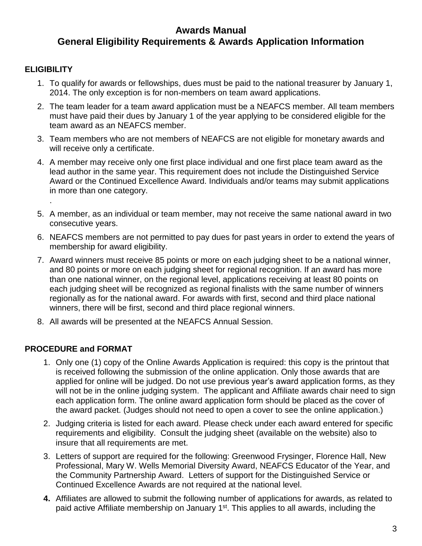## **Awards Manual General Eligibility Requirements & Awards Application Information**

## **ELIGIBILITY**

.

- 1. To qualify for awards or fellowships, dues must be paid to the national treasurer by January 1, 2014. The only exception is for non-members on team award applications.
- 2. The team leader for a team award application must be a NEAFCS member. All team members must have paid their dues by January 1 of the year applying to be considered eligible for the team award as an NEAFCS member.
- 3. Team members who are not members of NEAFCS are not eligible for monetary awards and will receive only a certificate.
- 4. A member may receive only one first place individual and one first place team award as the lead author in the same year. This requirement does not include the Distinguished Service Award or the Continued Excellence Award. Individuals and/or teams may submit applications in more than one category.
- 5. A member, as an individual or team member, may not receive the same national award in two consecutive years.
- 6. NEAFCS members are not permitted to pay dues for past years in order to extend the years of membership for award eligibility.
- 7. Award winners must receive 85 points or more on each judging sheet to be a national winner, and 80 points or more on each judging sheet for regional recognition. If an award has more than one national winner, on the regional level, applications receiving at least 80 points on each judging sheet will be recognized as regional finalists with the same number of winners regionally as for the national award. For awards with first, second and third place national winners, there will be first, second and third place regional winners.
- 8. All awards will be presented at the NEAFCS Annual Session.

## **PROCEDURE and FORMAT**

- 1. Only one (1) copy of the Online Awards Application is required: this copy is the printout that is received following the submission of the online application. Only those awards that are applied for online will be judged. Do not use previous year's award application forms, as they will not be in the online judging system. The applicant and Affiliate awards chair need to sign each application form. The online award application form should be placed as the cover of the award packet. (Judges should not need to open a cover to see the online application.)
- 2. Judging criteria is listed for each award. Please check under each award entered for specific requirements and eligibility. Consult the judging sheet (available on the website) also to insure that all requirements are met.
- 3. Letters of support are required for the following: Greenwood Frysinger, Florence Hall, New Professional, Mary W. Wells Memorial Diversity Award, NEAFCS Educator of the Year, and the Community Partnership Award. Letters of support for the Distinguished Service or Continued Excellence Awards are not required at the national level.
- **4.** Affiliates are allowed to submit the following number of applications for awards, as related to paid active Affiliate membership on January 1<sup>st</sup>. This applies to all awards, including the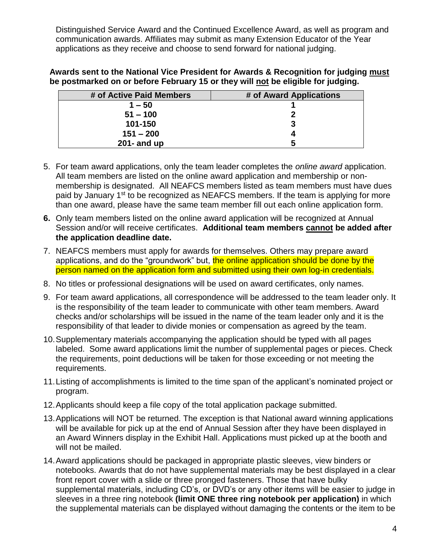Distinguished Service Award and the Continued Excellence Award, as well as program and communication awards. Affiliates may submit as many Extension Educator of the Year applications as they receive and choose to send forward for national judging.

**Awards sent to the National Vice President for Awards & Recognition for judging must be postmarked on or before February 15 or they will not be eligible for judging.** 

| # of Active Paid Members | # of Award Applications |
|--------------------------|-------------------------|
| $1 - 50$                 |                         |
| $51 - 100$               |                         |
| 101-150                  | 3                       |
| $151 - 200$              |                         |
| $201 -$ and up           | 5                       |

- 5. For team award applications, only the team leader completes the *online award* application. All team members are listed on the online award application and membership or nonmembership is designated. All NEAFCS members listed as team members must have dues paid by January 1<sup>st</sup> to be recognized as NEAFCS members. If the team is applying for more than one award, please have the same team member fill out each online application form.
- **6.** Only team members listed on the online award application will be recognized at Annual Session and/or will receive certificates. **Additional team members cannot be added after the application deadline date.**
- 7. NEAFCS members must apply for awards for themselves. Others may prepare award applications, and do the "groundwork" but, the online application should be done by the person named on the application form and submitted using their own log-in credentials.
- 8. No titles or professional designations will be used on award certificates, only names.
- 9. For team award applications, all correspondence will be addressed to the team leader only. It is the responsibility of the team leader to communicate with other team members. Award checks and/or scholarships will be issued in the name of the team leader only and it is the responsibility of that leader to divide monies or compensation as agreed by the team.
- 10.Supplementary materials accompanying the application should be typed with all pages labeled. Some award applications limit the number of supplemental pages or pieces. Check the requirements, point deductions will be taken for those exceeding or not meeting the requirements.
- 11.Listing of accomplishments is limited to the time span of the applicant's nominated project or program.
- 12.Applicants should keep a file copy of the total application package submitted.
- 13.Applications will NOT be returned. The exception is that National award winning applications will be available for pick up at the end of Annual Session after they have been displayed in an Award Winners display in the Exhibit Hall. Applications must picked up at the booth and will not be mailed.
- 14.Award applications should be packaged in appropriate plastic sleeves, view binders or notebooks. Awards that do not have supplemental materials may be best displayed in a clear front report cover with a slide or three pronged fasteners. Those that have bulky supplemental materials, including CD's, or DVD's or any other items will be easier to judge in sleeves in a three ring notebook **(limit ONE three ring notebook per application)** in which the supplemental materials can be displayed without damaging the contents or the item to be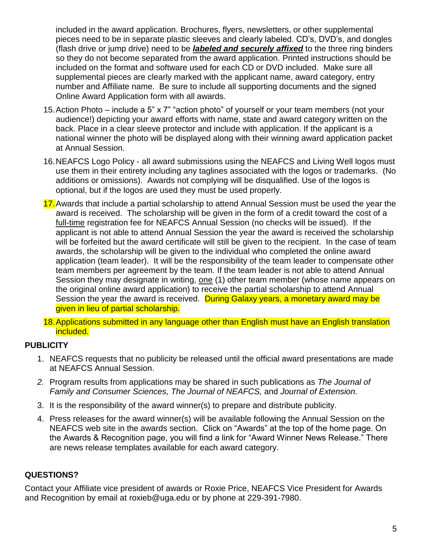included in the award application. Brochures, flyers, newsletters, or other supplemental pieces need to be in separate plastic sleeves and clearly labeled. CD's, DVD's, and dongles (flash drive or jump drive) need to be *labeled and securely affixed* to the three ring binders so they do not become separated from the award application. Printed instructions should be included on the format and software used for each CD or DVD included. Make sure all supplemental pieces are clearly marked with the applicant name, award category, entry number and Affiliate name. Be sure to include all supporting documents and the signed Online Award Application form with all awards.

- 15.Action Photo include a 5" x 7" "action photo" of yourself or your team members (not your audience!) depicting your award efforts with name, state and award category written on the back. Place in a clear sleeve protector and include with application. If the applicant is a national winner the photo will be displayed along with their winning award application packet at Annual Session.
- 16.NEAFCS Logo Policy all award submissions using the NEAFCS and Living Well logos must use them in their entirety including any taglines associated with the logos or trademarks. (No additions or omissions). Awards not complying will be disqualified. Use of the logos is optional, but if the logos are used they must be used properly.
- 17.Awards that include a partial scholarship to attend Annual Session must be used the year the award is received. The scholarship will be given in the form of a credit toward the cost of a full-time registration fee for NEAFCS Annual Session (no checks will be issued). If the applicant is not able to attend Annual Session the year the award is received the scholarship will be forfeited but the award certificate will still be given to the recipient. In the case of team awards, the scholarship will be given to the individual who completed the online award application (team leader). It will be the responsibility of the team leader to compensate other team members per agreement by the team. If the team leader is not able to attend Annual Session they may designate in writing, one (1) other team member (whose name appears on the original online award application) to receive the partial scholarship to attend Annual Session the year the award is received. During Galaxy years, a monetary award may be given in lieu of partial scholarship.
- 18.Applications submitted in any language other than English must have an English translation included.

## **PUBLICITY**

- 1. NEAFCS requests that no publicity be released until the official award presentations are made at NEAFCS Annual Session.
- *2.* Program results from applications may be shared in such publications as *The Journal of Family and Consumer Sciences, The Journal of NEAFCS,* and *Journal of Extension.*
- 3. It is the responsibility of the award winner(s) to prepare and distribute publicity.
- 4. Press releases for the award winner(s) will be available following the Annual Session on the NEAFCS web site in the awards section. Click on "Awards" at the top of the home page. On the Awards & Recognition page, you will find a link for "Award Winner News Release." There are news release templates available for each award category.

## **QUESTIONS?**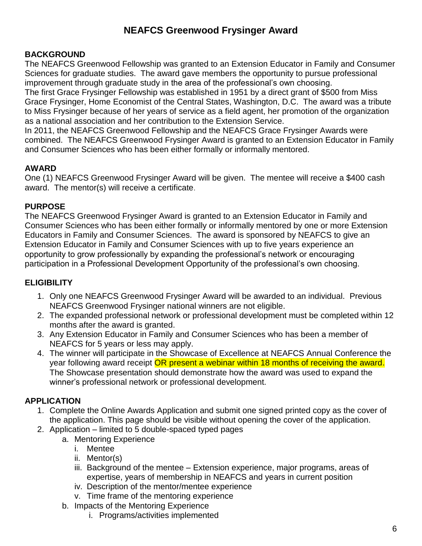# **NEAFCS Greenwood Frysinger Award**

## **BACKGROUND**

The NEAFCS Greenwood Fellowship was granted to an Extension Educator in Family and Consumer Sciences for graduate studies. The award gave members the opportunity to pursue professional improvement through graduate study in the area of the professional's own choosing.

The first Grace Frysinger Fellowship was established in 1951 by a direct grant of \$500 from Miss Grace Frysinger, Home Economist of the Central States, Washington, D.C. The award was a tribute to Miss Frysinger because of her years of service as a field agent, her promotion of the organization as a national association and her contribution to the Extension Service.

In 2011, the NEAFCS Greenwood Fellowship and the NEAFCS Grace Frysinger Awards were combined. The NEAFCS Greenwood Frysinger Award is granted to an Extension Educator in Family and Consumer Sciences who has been either formally or informally mentored.

## **AWARD**

One (1) NEAFCS Greenwood Frysinger Award will be given. The mentee will receive a \$400 cash award. The mentor(s) will receive a certificate.

## **PURPOSE**

The NEAFCS Greenwood Frysinger Award is granted to an Extension Educator in Family and Consumer Sciences who has been either formally or informally mentored by one or more Extension Educators in Family and Consumer Sciences. The award is sponsored by NEAFCS to give an Extension Educator in Family and Consumer Sciences with up to five years experience an opportunity to grow professionally by expanding the professional's network or encouraging participation in a Professional Development Opportunity of the professional's own choosing.

## **ELIGIBILITY**

- 1. Only one NEAFCS Greenwood Frysinger Award will be awarded to an individual. Previous NEAFCS Greenwood Frysinger national winners are not eligible.
- 2. The expanded professional network or professional development must be completed within 12 months after the award is granted.
- 3. Any Extension Educator in Family and Consumer Sciences who has been a member of NEAFCS for 5 years or less may apply.
- 4. The winner will participate in the Showcase of Excellence at NEAFCS Annual Conference the year following award receipt **OR** present a webinar within 18 months of receiving the award. The Showcase presentation should demonstrate how the award was used to expand the winner's professional network or professional development.

## **APPLICATION**

- 1. Complete the Online Awards Application and submit one signed printed copy as the cover of the application. This page should be visible without opening the cover of the application.
- 2. Application limited to 5 double-spaced typed pages
	- a. Mentoring Experience
		- i. Mentee
		- ii. Mentor(s)
		- iii. Background of the mentee Extension experience, major programs, areas of expertise, years of membership in NEAFCS and years in current position
		- iv. Description of the mentor/mentee experience
		- v. Time frame of the mentoring experience
	- b. Impacts of the Mentoring Experience
		- i. Programs/activities implemented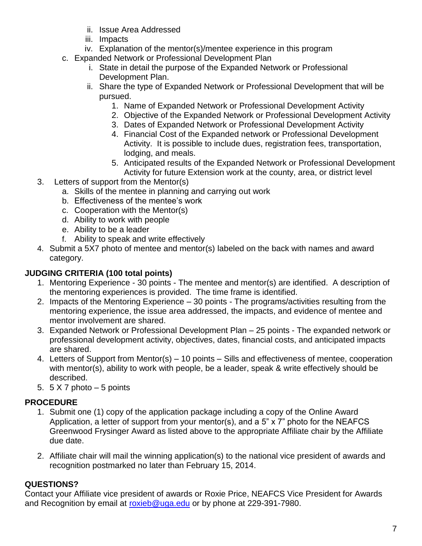- ii. Issue Area Addressed
- iii. Impacts
- iv. Explanation of the mentor(s)/mentee experience in this program
- c. Expanded Network or Professional Development Plan
	- i. State in detail the purpose of the Expanded Network or Professional Development Plan.
	- ii. Share the type of Expanded Network or Professional Development that will be pursued.
		- 1. Name of Expanded Network or Professional Development Activity
		- 2. Objective of the Expanded Network or Professional Development Activity
		- 3. Dates of Expanded Network or Professional Development Activity
		- 4. Financial Cost of the Expanded network or Professional Development Activity. It is possible to include dues, registration fees, transportation, lodging, and meals.
		- 5. Anticipated results of the Expanded Network or Professional Development Activity for future Extension work at the county, area, or district level
- 3. Letters of support from the Mentor(s)
	- a. Skills of the mentee in planning and carrying out work
	- b. Effectiveness of the mentee's work
	- c. Cooperation with the Mentor(s)
	- d. Ability to work with people
	- e. Ability to be a leader
	- f. Ability to speak and write effectively
- 4. Submit a 5X7 photo of mentee and mentor(s) labeled on the back with names and award category.

## **JUDGING CRITERIA (100 total points)**

- 1. Mentoring Experience 30 points The mentee and mentor(s) are identified. A description of the mentoring experiences is provided. The time frame is identified.
- 2. Impacts of the Mentoring Experience 30 points The programs/activities resulting from the mentoring experience, the issue area addressed, the impacts, and evidence of mentee and mentor involvement are shared.
- 3. Expanded Network or Professional Development Plan 25 points The expanded network or professional development activity, objectives, dates, financial costs, and anticipated impacts are shared.
- 4. Letters of Support from Mentor(s) 10 points Sills and effectiveness of mentee, cooperation with mentor(s), ability to work with people, be a leader, speak & write effectively should be described.
- 5.  $5 \times 7$  photo  $-5$  points

## **PROCEDURE**

- 1. Submit one (1) copy of the application package including a copy of the Online Award Application, a letter of support from your mentor(s), and a 5" x 7" photo for the NEAFCS Greenwood Frysinger Award as listed above to the appropriate Affiliate chair by the Affiliate due date.
- 2. Affiliate chair will mail the winning application(s) to the national vice president of awards and recognition postmarked no later than February 15, 2014.

## **QUESTIONS?**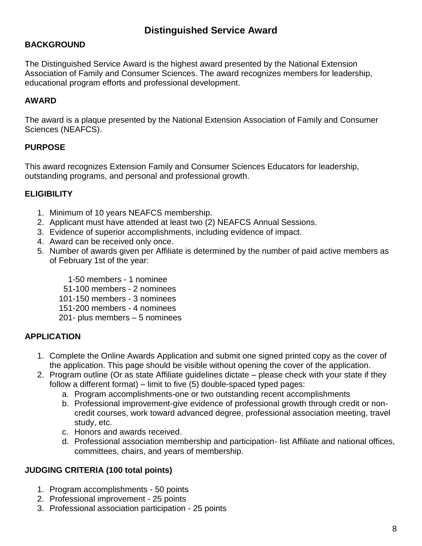## **BACKGROUND**

The Distinguished Service Award is the highest award presented by the National Extension Association of Family and Consumer Sciences. The award recognizes members for leadership, educational program efforts and professional development.

### **AWARD**

The award is a plaque presented by the National Extension Association of Family and Consumer Sciences (NEAFCS).

### **PURPOSE**

This award recognizes Extension Family and Consumer Sciences Educators for leadership, outstanding programs, and personal and professional growth.

## **ELIGIBILITY**

- 1. Minimum of 10 years NEAFCS membership.
- 2. Applicant must have attended at least two (2) NEAFCS Annual Sessions.
- 3. Evidence of superior accomplishments, including evidence of impact.
- 4. Award can be received only once.
- 5. Number of awards given per Affiliate is determined by the number of paid active members as of February 1st of the year:
	- 1-50 members 1 nominee
	- 51-100 members 2 nominees
	- 101-150 members 3 nominees
	- 151-200 members 4 nominees
	- 201- plus members 5 nominees

## **APPLICATION**

- 1. Complete the Online Awards Application and submit one signed printed copy as the cover of the application. This page should be visible without opening the cover of the application.
- 2. Program outline (Or as state Affiliate guidelines dictate please check with your state if they follow a different format) – limit to five (5) double-spaced typed pages:
	- a. Program accomplishments-one or two outstanding recent accomplishments
	- b. Professional improvement-give evidence of professional growth through credit or noncredit courses, work toward advanced degree, professional association meeting, travel study, etc.
	- c. Honors and awards received.
	- d. Professional association membership and participation- list Affiliate and national offices, committees, chairs, and years of membership.

## **JUDGING CRITERIA (100 total points)**

- 1. Program accomplishments 50 points
- 2. Professional improvement 25 points
- 3. Professional association participation 25 points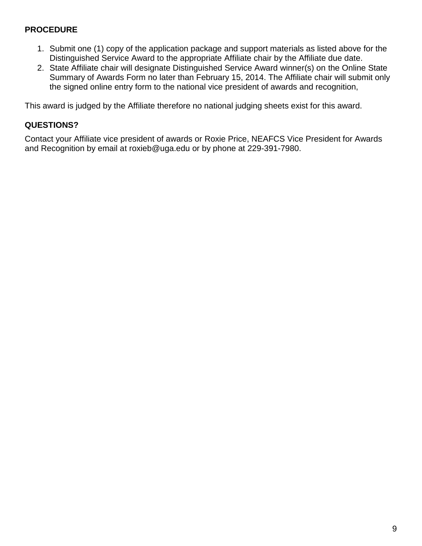- 1. Submit one (1) copy of the application package and support materials as listed above for the Distinguished Service Award to the appropriate Affiliate chair by the Affiliate due date.
- 2. State Affiliate chair will designate Distinguished Service Award winner(s) on the Online State Summary of Awards Form no later than February 15, 2014. The Affiliate chair will submit only the signed online entry form to the national vice president of awards and recognition,

This award is judged by the Affiliate therefore no national judging sheets exist for this award.

### **QUESTIONS?**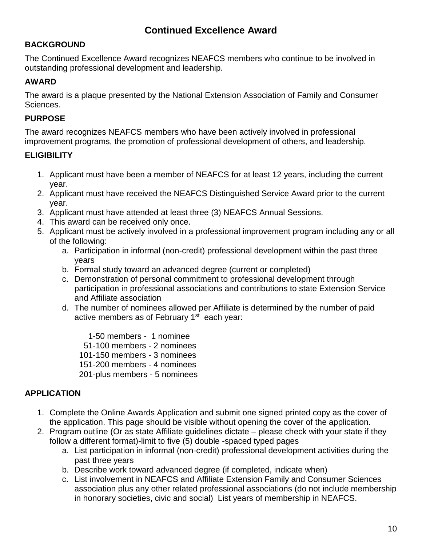## **Continued Excellence Award**

## **BACKGROUND**

The Continued Excellence Award recognizes NEAFCS members who continue to be involved in outstanding professional development and leadership.

## **AWARD**

The award is a plaque presented by the National Extension Association of Family and Consumer Sciences.

## **PURPOSE**

The award recognizes NEAFCS members who have been actively involved in professional improvement programs, the promotion of professional development of others, and leadership.

## **ELIGIBILITY**

- 1. Applicant must have been a member of NEAFCS for at least 12 years, including the current year.
- 2. Applicant must have received the NEAFCS Distinguished Service Award prior to the current year.
- 3. Applicant must have attended at least three (3) NEAFCS Annual Sessions.
- 4. This award can be received only once.
- 5. Applicant must be actively involved in a professional improvement program including any or all of the following:
	- a. Participation in informal (non-credit) professional development within the past three years
	- b. Formal study toward an advanced degree (current or completed)
	- c. Demonstration of personal commitment to professional development through participation in professional associations and contributions to state Extension Service and Affiliate association
	- d. The number of nominees allowed per Affiliate is determined by the number of paid active members as of February  $1<sup>st</sup>$  each year:

 1-50 members - 1 nominee 51-100 members - 2 nominees 101-150 members - 3 nominees 151-200 members - 4 nominees 201-plus members - 5 nominees

## **APPLICATION**

- 1. Complete the Online Awards Application and submit one signed printed copy as the cover of the application. This page should be visible without opening the cover of the application.
- 2. Program outline (Or as state Affiliate guidelines dictate please check with your state if they follow a different format)-limit to five (5) double -spaced typed pages
	- a. List participation in informal (non-credit) professional development activities during the past three years
	- b. Describe work toward advanced degree (if completed, indicate when)
	- c. List involvement in NEAFCS and Affiliate Extension Family and Consumer Sciences association plus any other related professional associations (do not include membership in honorary societies, civic and social) List years of membership in NEAFCS.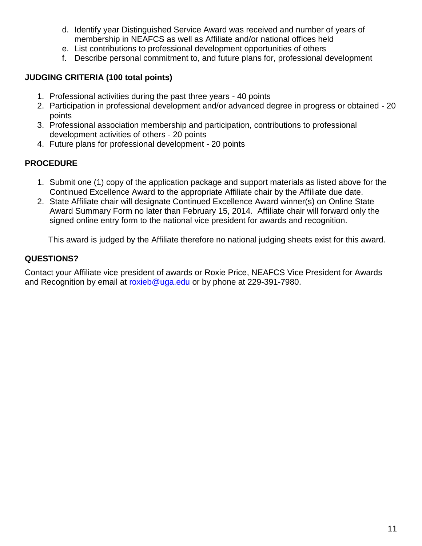- d. Identify year Distinguished Service Award was received and number of years of membership in NEAFCS as well as Affiliate and/or national offices held
- e. List contributions to professional development opportunities of others
- f. Describe personal commitment to, and future plans for, professional development

### **JUDGING CRITERIA (100 total points)**

- 1. Professional activities during the past three years 40 points
- 2. Participation in professional development and/or advanced degree in progress or obtained 20 points
- 3. Professional association membership and participation, contributions to professional development activities of others - 20 points
- 4. Future plans for professional development 20 points

## **PROCEDURE**

- 1. Submit one (1) copy of the application package and support materials as listed above for the Continued Excellence Award to the appropriate Affiliate chair by the Affiliate due date.
- 2. State Affiliate chair will designate Continued Excellence Award winner(s) on Online State Award Summary Form no later than February 15, 2014. Affiliate chair will forward only the signed online entry form to the national vice president for awards and recognition.

This award is judged by the Affiliate therefore no national judging sheets exist for this award.

## **QUESTIONS?**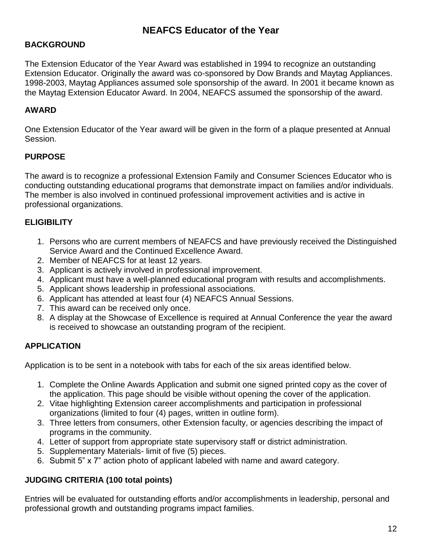## **BACKGROUND**

The Extension Educator of the Year Award was established in 1994 to recognize an outstanding Extension Educator. Originally the award was co-sponsored by Dow Brands and Maytag Appliances. 1998-2003, Maytag Appliances assumed sole sponsorship of the award. In 2001 it became known as the Maytag Extension Educator Award. In 2004, NEAFCS assumed the sponsorship of the award.

## **AWARD**

One Extension Educator of the Year award will be given in the form of a plaque presented at Annual Session.

## **PURPOSE**

The award is to recognize a professional Extension Family and Consumer Sciences Educator who is conducting outstanding educational programs that demonstrate impact on families and/or individuals. The member is also involved in continued professional improvement activities and is active in professional organizations.

## **ELIGIBILITY**

- 1. Persons who are current members of NEAFCS and have previously received the Distinguished Service Award and the Continued Excellence Award.
- 2. Member of NEAFCS for at least 12 years.
- 3. Applicant is actively involved in professional improvement.
- 4. Applicant must have a well-planned educational program with results and accomplishments.
- 5. Applicant shows leadership in professional associations.
- 6. Applicant has attended at least four (4) NEAFCS Annual Sessions.
- 7. This award can be received only once.
- 8. A display at the Showcase of Excellence is required at Annual Conference the year the award is received to showcase an outstanding program of the recipient.

## **APPLICATION**

Application is to be sent in a notebook with tabs for each of the six areas identified below.

- 1. Complete the Online Awards Application and submit one signed printed copy as the cover of the application. This page should be visible without opening the cover of the application.
- 2. Vitae highlighting Extension career accomplishments and participation in professional organizations (limited to four (4) pages, written in outline form).
- 3. Three letters from consumers, other Extension faculty, or agencies describing the impact of programs in the community.
- 4. Letter of support from appropriate state supervisory staff or district administration.
- 5. Supplementary Materials- limit of five (5) pieces.
- 6. Submit 5" x 7" action photo of applicant labeled with name and award category.

## **JUDGING CRITERIA (100 total points)**

Entries will be evaluated for outstanding efforts and/or accomplishments in leadership, personal and professional growth and outstanding programs impact families.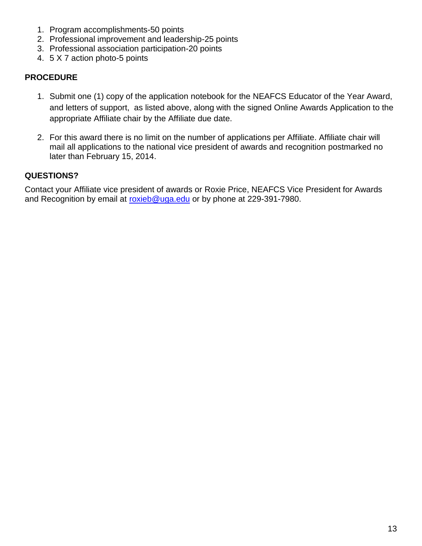- 1. Program accomplishments-50 points
- 2. Professional improvement and leadership-25 points
- 3. Professional association participation-20 points
- 4. 5 X 7 action photo-5 points

- 1. Submit one (1) copy of the application notebook for the NEAFCS Educator of the Year Award, and letters of support, as listed above, along with the signed Online Awards Application to the appropriate Affiliate chair by the Affiliate due date.
- 2. For this award there is no limit on the number of applications per Affiliate. Affiliate chair will mail all applications to the national vice president of awards and recognition postmarked no later than February 15, 2014.

### **QUESTIONS?**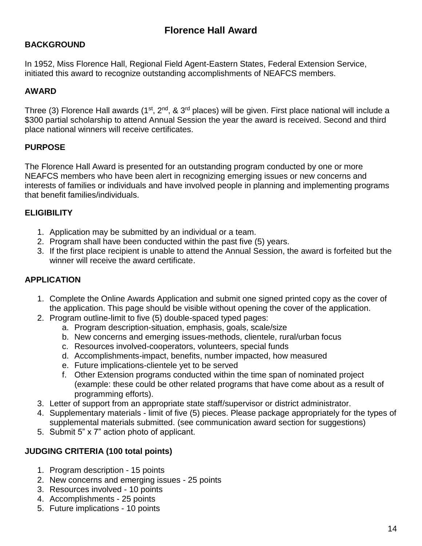## **BACKGROUND**

In 1952, Miss Florence Hall, Regional Field Agent-Eastern States, Federal Extension Service, initiated this award to recognize outstanding accomplishments of NEAFCS members.

## **AWARD**

Three (3) Florence Hall awards (1<sup>st</sup>, 2<sup>nd</sup>, & 3<sup>rd</sup> places) will be given. First place national will include a \$300 partial scholarship to attend Annual Session the year the award is received. Second and third place national winners will receive certificates.

### **PURPOSE**

The Florence Hall Award is presented for an outstanding program conducted by one or more NEAFCS members who have been alert in recognizing emerging issues or new concerns and interests of families or individuals and have involved people in planning and implementing programs that benefit families/individuals.

### **ELIGIBILITY**

- 1. Application may be submitted by an individual or a team.
- 2. Program shall have been conducted within the past five (5) years.
- 3. If the first place recipient is unable to attend the Annual Session, the award is forfeited but the winner will receive the award certificate.

### **APPLICATION**

- 1. Complete the Online Awards Application and submit one signed printed copy as the cover of the application. This page should be visible without opening the cover of the application.
- 2. Program outline-limit to five (5) double-spaced typed pages:
	- a. Program description-situation, emphasis, goals, scale/size
	- b. New concerns and emerging issues-methods, clientele, rural/urban focus
	- c. Resources involved-cooperators, volunteers, special funds
	- d. Accomplishments-impact, benefits, number impacted, how measured
	- e. Future implications-clientele yet to be served
	- f. Other Extension programs conducted within the time span of nominated project (example: these could be other related programs that have come about as a result of programming efforts).
- 3. Letter of support from an appropriate state staff/supervisor or district administrator.
- 4. Supplementary materials limit of five (5) pieces. Please package appropriately for the types of supplemental materials submitted. (see communication award section for suggestions)
- 5. Submit 5" x 7" action photo of applicant.

### **JUDGING CRITERIA (100 total points)**

- 1. Program description 15 points
- 2. New concerns and emerging issues 25 points
- 3. Resources involved 10 points
- 4. Accomplishments 25 points
- 5. Future implications 10 points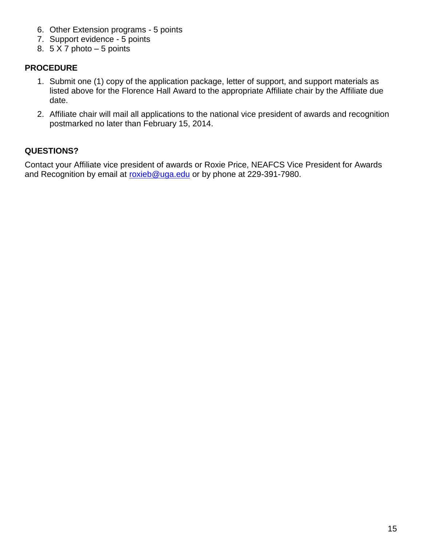- 6. Other Extension programs 5 points
- 7. Support evidence 5 points
- 8.  $5 \times 7$  photo  $-5$  points

- 1. Submit one (1) copy of the application package, letter of support, and support materials as listed above for the Florence Hall Award to the appropriate Affiliate chair by the Affiliate due date.
- 2. Affiliate chair will mail all applications to the national vice president of awards and recognition postmarked no later than February 15, 2014.

## **QUESTIONS?**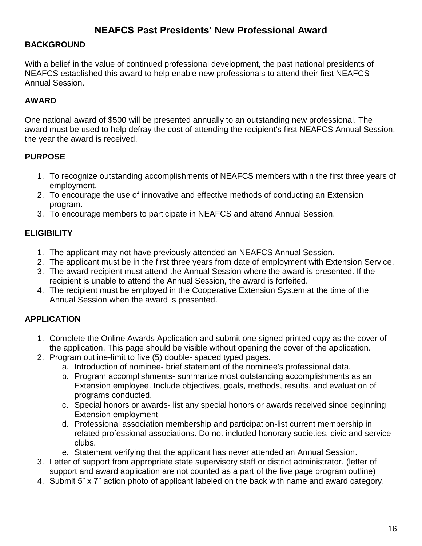## **NEAFCS Past Presidents' New Professional Award**

#### **BACKGROUND**

With a belief in the value of continued professional development, the past national presidents of NEAFCS established this award to help enable new professionals to attend their first NEAFCS Annual Session.

#### **AWARD**

One national award of \$500 will be presented annually to an outstanding new professional. The award must be used to help defray the cost of attending the recipient's first NEAFCS Annual Session, the year the award is received.

#### **PURPOSE**

- 1. To recognize outstanding accomplishments of NEAFCS members within the first three years of employment.
- 2. To encourage the use of innovative and effective methods of conducting an Extension program.
- 3. To encourage members to participate in NEAFCS and attend Annual Session.

### **ELIGIBILITY**

- 1. The applicant may not have previously attended an NEAFCS Annual Session.
- 2. The applicant must be in the first three years from date of employment with Extension Service.
- 3. The award recipient must attend the Annual Session where the award is presented. If the recipient is unable to attend the Annual Session, the award is forfeited.
- 4. The recipient must be employed in the Cooperative Extension System at the time of the Annual Session when the award is presented.

### **APPLICATION**

- 1. Complete the Online Awards Application and submit one signed printed copy as the cover of the application. This page should be visible without opening the cover of the application.
- 2. Program outline-limit to five (5) double- spaced typed pages.
	- a. Introduction of nominee- brief statement of the nominee's professional data.
	- b. Program accomplishments- summarize most outstanding accomplishments as an Extension employee. Include objectives, goals, methods, results, and evaluation of programs conducted.
	- c. Special honors or awards- list any special honors or awards received since beginning Extension employment
	- d. Professional association membership and participation-list current membership in related professional associations. Do not included honorary societies, civic and service clubs.
	- e. Statement verifying that the applicant has never attended an Annual Session.
- 3. Letter of support from appropriate state supervisory staff or district administrator. (letter of support and award application are not counted as a part of the five page program outline)
- 4. Submit 5" x 7" action photo of applicant labeled on the back with name and award category.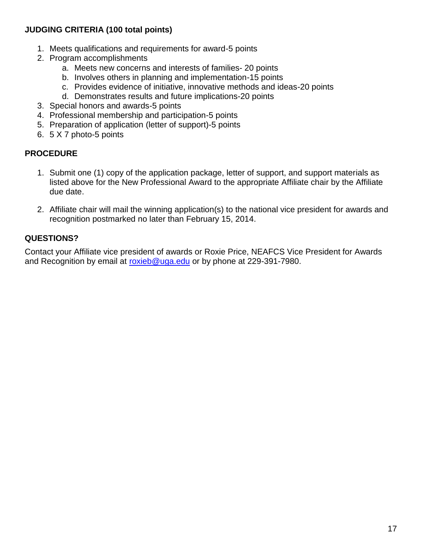## **JUDGING CRITERIA (100 total points)**

- 1. Meets qualifications and requirements for award-5 points
- 2. Program accomplishments
	- a. Meets new concerns and interests of families- 20 points
	- b. Involves others in planning and implementation-15 points
	- c. Provides evidence of initiative, innovative methods and ideas-20 points
	- d. Demonstrates results and future implications-20 points
- 3. Special honors and awards-5 points
- 4. Professional membership and participation-5 points
- 5. Preparation of application (letter of support)-5 points
- 6. 5 X 7 photo-5 points

### **PROCEDURE**

- 1. Submit one (1) copy of the application package, letter of support, and support materials as listed above for the New Professional Award to the appropriate Affiliate chair by the Affiliate due date.
- 2. Affiliate chair will mail the winning application(s) to the national vice president for awards and recognition postmarked no later than February 15, 2014.

## **QUESTIONS?**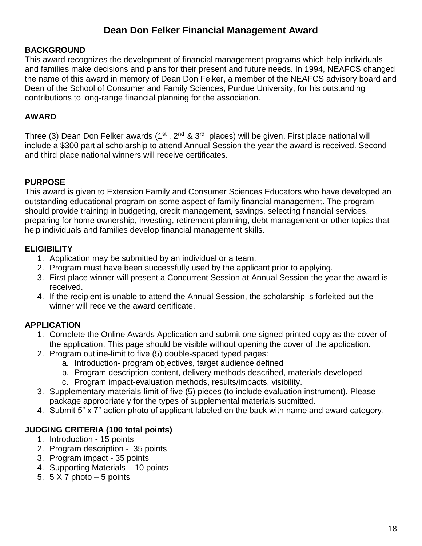# **Dean Don Felker Financial Management Award**

### **BACKGROUND**

This award recognizes the development of financial management programs which help individuals and families make decisions and plans for their present and future needs. In 1994, NEAFCS changed the name of this award in memory of Dean Don Felker, a member of the NEAFCS advisory board and Dean of the School of Consumer and Family Sciences, Purdue University, for his outstanding contributions to long-range financial planning for the association.

### **AWARD**

Three (3) Dean Don Felker awards (1<sup>st</sup>, 2<sup>nd</sup> & 3<sup>rd</sup> places) will be given. First place national will include a \$300 partial scholarship to attend Annual Session the year the award is received. Second and third place national winners will receive certificates.

## **PURPOSE**

This award is given to Extension Family and Consumer Sciences Educators who have developed an outstanding educational program on some aspect of family financial management. The program should provide training in budgeting, credit management, savings, selecting financial services, preparing for home ownership, investing, retirement planning, debt management or other topics that help individuals and families develop financial management skills.

### **ELIGIBILITY**

- 1. Application may be submitted by an individual or a team.
- 2. Program must have been successfully used by the applicant prior to applying.
- 3. First place winner will present a Concurrent Session at Annual Session the year the award is received.
- 4. If the recipient is unable to attend the Annual Session, the scholarship is forfeited but the winner will receive the award certificate.

### **APPLICATION**

- 1. Complete the Online Awards Application and submit one signed printed copy as the cover of the application. This page should be visible without opening the cover of the application.
- 2. Program outline-limit to five (5) double-spaced typed pages:
	- a. Introduction- program objectives, target audience defined
	- b. Program description-content, delivery methods described, materials developed
	- c. Program impact-evaluation methods, results/impacts, visibility.
- 3. Supplementary materials-limit of five (5) pieces (to include evaluation instrument). Please package appropriately for the types of supplemental materials submitted.
- 4. Submit 5" x 7" action photo of applicant labeled on the back with name and award category.

### **JUDGING CRITERIA (100 total points)**

- 1. Introduction 15 points
- 2. Program description 35 points
- 3. Program impact 35 points
- 4. Supporting Materials 10 points
- 5.  $5 \times 7$  photo  $-5$  points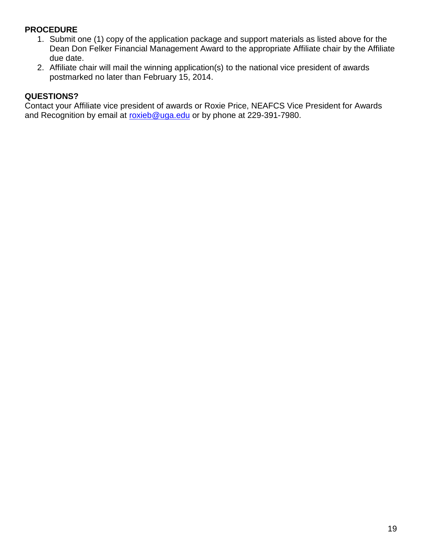- 1. Submit one (1) copy of the application package and support materials as listed above for the Dean Don Felker Financial Management Award to the appropriate Affiliate chair by the Affiliate due date.
- 2. Affiliate chair will mail the winning application(s) to the national vice president of awards postmarked no later than February 15, 2014.

## **QUESTIONS?**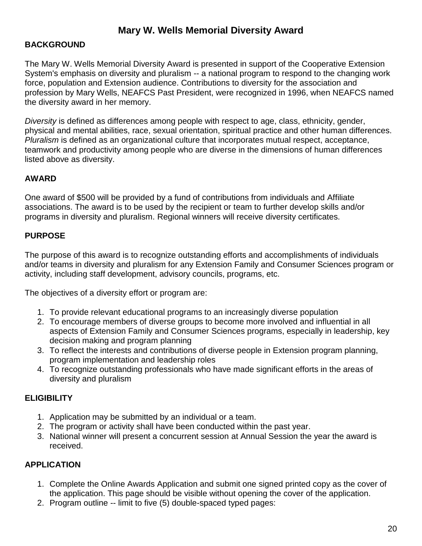## **Mary W. Wells Memorial Diversity Award**

#### **BACKGROUND**

The Mary W. Wells Memorial Diversity Award is presented in support of the Cooperative Extension System's emphasis on diversity and pluralism -- a national program to respond to the changing work force, population and Extension audience. Contributions to diversity for the association and profession by Mary Wells, NEAFCS Past President, were recognized in 1996, when NEAFCS named the diversity award in her memory.

*Diversity* is defined as differences among people with respect to age, class, ethnicity, gender, physical and mental abilities, race, sexual orientation, spiritual practice and other human differences. *Pluralism* is defined as an organizational culture that incorporates mutual respect, acceptance, teamwork and productivity among people who are diverse in the dimensions of human differences listed above as diversity.

#### **AWARD**

One award of \$500 will be provided by a fund of contributions from individuals and Affiliate associations. The award is to be used by the recipient or team to further develop skills and/or programs in diversity and pluralism. Regional winners will receive diversity certificates.

#### **PURPOSE**

The purpose of this award is to recognize outstanding efforts and accomplishments of individuals and/or teams in diversity and pluralism for any Extension Family and Consumer Sciences program or activity, including staff development, advisory councils, programs, etc.

The objectives of a diversity effort or program are:

- 1. To provide relevant educational programs to an increasingly diverse population
- 2. To encourage members of diverse groups to become more involved and influential in all aspects of Extension Family and Consumer Sciences programs, especially in leadership, key decision making and program planning
- 3. To reflect the interests and contributions of diverse people in Extension program planning, program implementation and leadership roles
- 4. To recognize outstanding professionals who have made significant efforts in the areas of diversity and pluralism

#### **ELIGIBILITY**

- 1. Application may be submitted by an individual or a team.
- 2. The program or activity shall have been conducted within the past year.
- 3. National winner will present a concurrent session at Annual Session the year the award is received.

### **APPLICATION**

- 1. Complete the Online Awards Application and submit one signed printed copy as the cover of the application. This page should be visible without opening the cover of the application.
- 2. Program outline -- limit to five (5) double-spaced typed pages: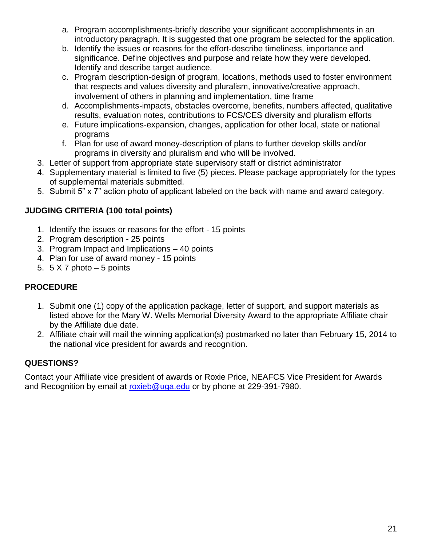- a. Program accomplishments-briefly describe your significant accomplishments in an introductory paragraph. It is suggested that one program be selected for the application.
- b. Identify the issues or reasons for the effort-describe timeliness, importance and significance. Define objectives and purpose and relate how they were developed. Identify and describe target audience.
- c. Program description-design of program, locations, methods used to foster environment that respects and values diversity and pluralism, innovative/creative approach, involvement of others in planning and implementation, time frame
- d. Accomplishments-impacts, obstacles overcome, benefits, numbers affected, qualitative results, evaluation notes, contributions to FCS/CES diversity and pluralism efforts
- e. Future implications-expansion, changes, application for other local, state or national programs
- f. Plan for use of award money-description of plans to further develop skills and/or programs in diversity and pluralism and who will be involved.
- 3. Letter of support from appropriate state supervisory staff or district administrator
- 4. Supplementary material is limited to five (5) pieces. Please package appropriately for the types of supplemental materials submitted.
- 5. Submit 5" x 7" action photo of applicant labeled on the back with name and award category.

# **JUDGING CRITERIA (100 total points)**

- 1. Identify the issues or reasons for the effort 15 points
- 2. Program description 25 points
- 3. Program Impact and Implications 40 points
- 4. Plan for use of award money 15 points
- 5.  $5 \times 7$  photo  $-5$  points

# **PROCEDURE**

- 1. Submit one (1) copy of the application package, letter of support, and support materials as listed above for the Mary W. Wells Memorial Diversity Award to the appropriate Affiliate chair by the Affiliate due date.
- 2. Affiliate chair will mail the winning application(s) postmarked no later than February 15, 2014 to the national vice president for awards and recognition.

# **QUESTIONS?**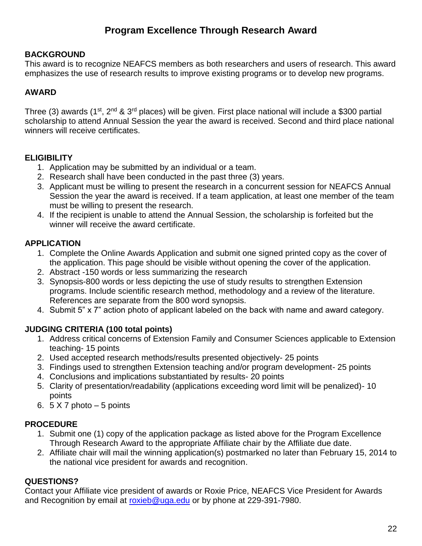# **Program Excellence Through Research Award**

## **BACKGROUND**

This award is to recognize NEAFCS members as both researchers and users of research. This award emphasizes the use of research results to improve existing programs or to develop new programs.

## **AWARD**

Three (3) awards (1<sup>st</sup>, 2<sup>nd</sup> & 3<sup>rd</sup> places) will be given. First place national will include a \$300 partial scholarship to attend Annual Session the year the award is received. Second and third place national winners will receive certificates.

## **ELIGIBILITY**

- 1. Application may be submitted by an individual or a team.
- 2. Research shall have been conducted in the past three (3) years.
- 3. Applicant must be willing to present the research in a concurrent session for NEAFCS Annual Session the year the award is received. If a team application, at least one member of the team must be willing to present the research.
- 4. If the recipient is unable to attend the Annual Session, the scholarship is forfeited but the winner will receive the award certificate.

## **APPLICATION**

- 1. Complete the Online Awards Application and submit one signed printed copy as the cover of the application. This page should be visible without opening the cover of the application.
- 2. Abstract -150 words or less summarizing the research
- 3. Synopsis-800 words or less depicting the use of study results to strengthen Extension programs. Include scientific research method, methodology and a review of the literature. References are separate from the 800 word synopsis.
- 4. Submit 5" x 7" action photo of applicant labeled on the back with name and award category.

## **JUDGING CRITERIA (100 total points)**

- 1. Address critical concerns of Extension Family and Consumer Sciences applicable to Extension teaching- 15 points
- 2. Used accepted research methods/results presented objectively- 25 points
- 3. Findings used to strengthen Extension teaching and/or program development- 25 points
- 4. Conclusions and implications substantiated by results- 20 points
- 5. Clarity of presentation/readability (applications exceeding word limit will be penalized)- 10 points
- 6.  $5 \times 7$  photo  $-5$  points

## **PROCEDURE**

- 1. Submit one (1) copy of the application package as listed above for the Program Excellence Through Research Award to the appropriate Affiliate chair by the Affiliate due date.
- 2. Affiliate chair will mail the winning application(s) postmarked no later than February 15, 2014 to the national vice president for awards and recognition.

## **QUESTIONS?**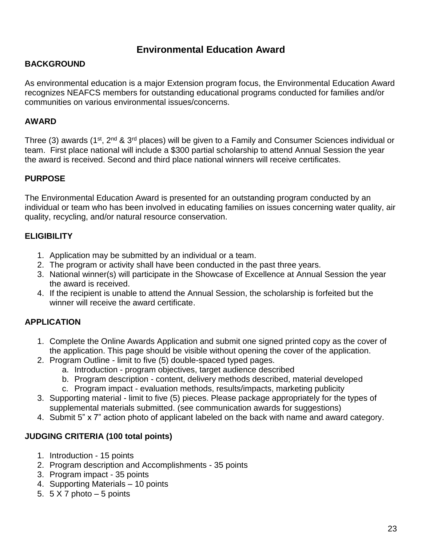## **Environmental Education Award**

### **BACKGROUND**

As environmental education is a major Extension program focus, the Environmental Education Award recognizes NEAFCS members for outstanding educational programs conducted for families and/or communities on various environmental issues/concerns.

## **AWARD**

Three (3) awards (1<sup>st</sup>, 2<sup>nd</sup> & 3<sup>rd</sup> places) will be given to a Family and Consumer Sciences individual or team. First place national will include a \$300 partial scholarship to attend Annual Session the year the award is received. Second and third place national winners will receive certificates.

## **PURPOSE**

The Environmental Education Award is presented for an outstanding program conducted by an individual or team who has been involved in educating families on issues concerning water quality, air quality, recycling, and/or natural resource conservation.

## **ELIGIBILITY**

- 1. Application may be submitted by an individual or a team.
- 2. The program or activity shall have been conducted in the past three years.
- 3. National winner(s) will participate in the Showcase of Excellence at Annual Session the year the award is received.
- 4. If the recipient is unable to attend the Annual Session, the scholarship is forfeited but the winner will receive the award certificate.

## **APPLICATION**

- 1. Complete the Online Awards Application and submit one signed printed copy as the cover of the application. This page should be visible without opening the cover of the application.
- 2. Program Outline limit to five (5) double-spaced typed pages.
	- a. Introduction program objectives, target audience described
	- b. Program description content, delivery methods described, material developed
	- c. Program impact evaluation methods, results/impacts, marketing publicity
- 3. Supporting material limit to five (5) pieces. Please package appropriately for the types of supplemental materials submitted. (see communication awards for suggestions)
- 4. Submit 5" x 7" action photo of applicant labeled on the back with name and award category.

### **JUDGING CRITERIA (100 total points)**

- 1. Introduction 15 points
- 2. Program description and Accomplishments 35 points
- 3. Program impact 35 points
- 4. Supporting Materials 10 points
- 5.  $5 \times 7$  photo  $-5$  points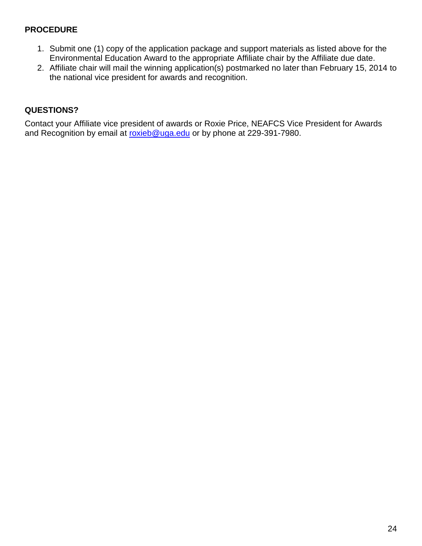- 1. Submit one (1) copy of the application package and support materials as listed above for the Environmental Education Award to the appropriate Affiliate chair by the Affiliate due date.
- 2. Affiliate chair will mail the winning application(s) postmarked no later than February 15, 2014 to the national vice president for awards and recognition.

## **QUESTIONS?**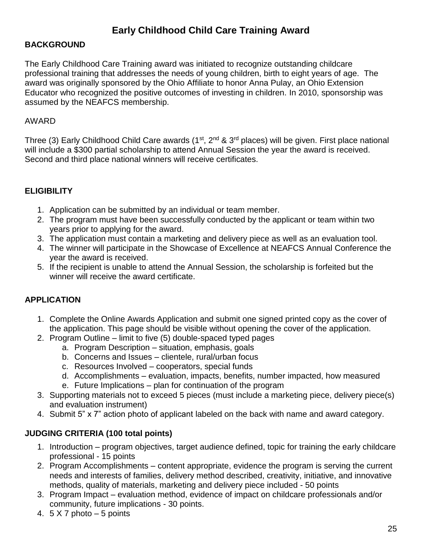# **Early Childhood Child Care Training Award**

### **BACKGROUND**

The Early Childhood Care Training award was initiated to recognize outstanding childcare professional training that addresses the needs of young children, birth to eight years of age. The award was originally sponsored by the Ohio Affiliate to honor Anna Pulay, an Ohio Extension Educator who recognized the positive outcomes of investing in children. In 2010, sponsorship was assumed by the NEAFCS membership.

#### AWARD

Three (3) Early Childhood Child Care awards ( $1<sup>st</sup>$ ,  $2<sup>nd</sup>$  &  $3<sup>rd</sup>$  places) will be given. First place national will include a \$300 partial scholarship to attend Annual Session the year the award is received. Second and third place national winners will receive certificates.

#### **ELIGIBILITY**

- 1. Application can be submitted by an individual or team member.
- 2. The program must have been successfully conducted by the applicant or team within two years prior to applying for the award.
- 3. The application must contain a marketing and delivery piece as well as an evaluation tool.
- 4. The winner will participate in the Showcase of Excellence at NEAFCS Annual Conference the year the award is received.
- 5. If the recipient is unable to attend the Annual Session, the scholarship is forfeited but the winner will receive the award certificate.

#### **APPLICATION**

- 1. Complete the Online Awards Application and submit one signed printed copy as the cover of the application. This page should be visible without opening the cover of the application.
- 2. Program Outline limit to five (5) double-spaced typed pages
	- a. Program Description situation, emphasis, goals
	- b. Concerns and Issues clientele, rural/urban focus
	- c. Resources Involved cooperators, special funds
	- d. Accomplishments evaluation, impacts, benefits, number impacted, how measured
	- e. Future Implications plan for continuation of the program
- 3. Supporting materials not to exceed 5 pieces (must include a marketing piece, delivery piece(s) and evaluation instrument)
- 4. Submit 5" x 7" action photo of applicant labeled on the back with name and award category.

#### **JUDGING CRITERIA (100 total points)**

- 1. Introduction program objectives, target audience defined, topic for training the early childcare professional - 15 points
- 2. Program Accomplishments content appropriate, evidence the program is serving the current needs and interests of families, delivery method described, creativity, initiative, and innovative methods, quality of materials, marketing and delivery piece included - 50 points
- 3. Program Impact evaluation method, evidence of impact on childcare professionals and/or community, future implications - 30 points.
- 4.  $5 \times 7$  photo  $-5$  points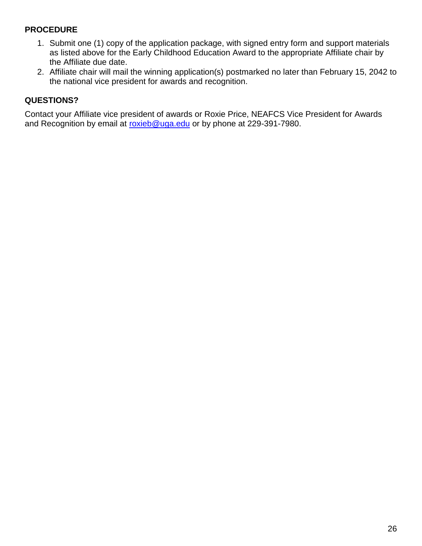- 1. Submit one (1) copy of the application package, with signed entry form and support materials as listed above for the Early Childhood Education Award to the appropriate Affiliate chair by the Affiliate due date.
- 2. Affiliate chair will mail the winning application(s) postmarked no later than February 15, 2042 to the national vice president for awards and recognition.

## **QUESTIONS?**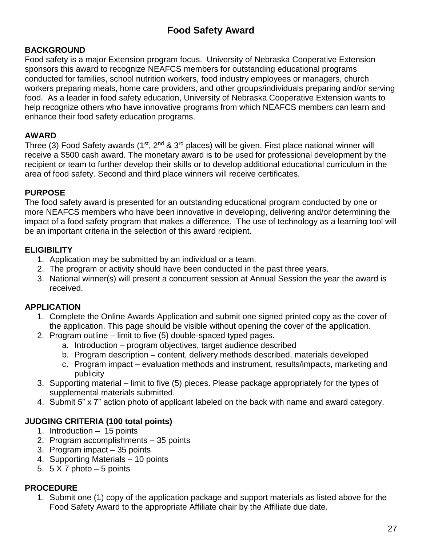# **Food Safety Award**

### **BACKGROUND**

Food safety is a major Extension program focus. University of Nebraska Cooperative Extension sponsors this award to recognize NEAFCS members for outstanding educational programs conducted for families, school nutrition workers, food industry employees or managers, church workers preparing meals, home care providers, and other groups/individuals preparing and/or serving food. As a leader in food safety education, University of Nebraska Cooperative Extension wants to help recognize others who have innovative programs from which NEAFCS members can learn and enhance their food safety education programs.

## **AWARD**

Three (3) Food Safety awards (1<sup>st</sup>, 2<sup>nd</sup> & 3<sup>rd</sup> places) will be given. First place national winner will receive a \$500 cash award. The monetary award is to be used for professional development by the recipient or team to further develop their skills or to develop additional educational curriculum in the area of food safety. Second and third place winners will receive certificates.

## **PURPOSE**

The food safety award is presented for an outstanding educational program conducted by one or more NEAFCS members who have been innovative in developing, delivering and/or determining the impact of a food safety program that makes a difference. The use of technology as a learning tool will be an important criteria in the selection of this award recipient.

## **ELIGIBILITY**

- 1. Application may be submitted by an individual or a team.
- 2. The program or activity should have been conducted in the past three years.
- 3. National winner(s) will present a concurrent session at Annual Session the year the award is received.

### **APPLICATION**

- 1. Complete the Online Awards Application and submit one signed printed copy as the cover of the application. This page should be visible without opening the cover of the application.
- 2. Program outline limit to five (5) double-spaced typed pages.
	- a. Introduction program objectives, target audience described
	- b. Program description content, delivery methods described, materials developed
	- c. Program impact evaluation methods and instrument, results/impacts, marketing and publicity
- 3. Supporting material limit to five (5) pieces. Please package appropriately for the types of supplemental materials submitted.
- 4. Submit 5" x 7" action photo of applicant labeled on the back with name and award category.

### **JUDGING CRITERIA (100 total points)**

- 1. Introduction 15 points
- 2. Program accomplishments 35 points
- 3. Program impact 35 points
- 4. Supporting Materials 10 points
- 5.  $5 \times 7$  photo  $-5$  points

### **PROCEDURE**

1. Submit one (1) copy of the application package and support materials as listed above for the Food Safety Award to the appropriate Affiliate chair by the Affiliate due date.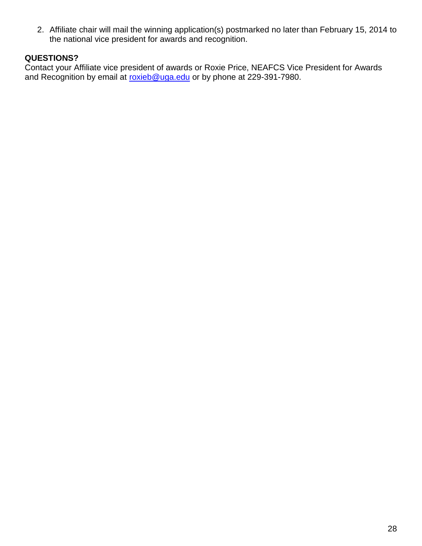2. Affiliate chair will mail the winning application(s) postmarked no later than February 15, 2014 to the national vice president for awards and recognition.

## **QUESTIONS?**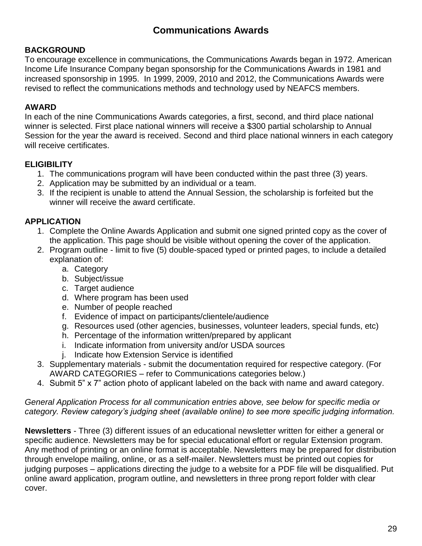## **Communications Awards**

## **BACKGROUND**

To encourage excellence in communications, the Communications Awards began in 1972. American Income Life Insurance Company began sponsorship for the Communications Awards in 1981 and increased sponsorship in 1995. In 1999, 2009, 2010 and 2012, the Communications Awards were revised to reflect the communications methods and technology used by NEAFCS members.

## **AWARD**

In each of the nine Communications Awards categories, a first, second, and third place national winner is selected. First place national winners will receive a \$300 partial scholarship to Annual Session for the year the award is received. Second and third place national winners in each category will receive certificates.

## **ELIGIBILITY**

- 1. The communications program will have been conducted within the past three (3) years.
- 2. Application may be submitted by an individual or a team.
- 3. If the recipient is unable to attend the Annual Session, the scholarship is forfeited but the winner will receive the award certificate.

## **APPLICATION**

- 1. Complete the Online Awards Application and submit one signed printed copy as the cover of the application. This page should be visible without opening the cover of the application.
- 2. Program outline limit to five (5) double-spaced typed or printed pages, to include a detailed explanation of:
	- a. Category
	- b. Subject/issue
	- c. Target audience
	- d. Where program has been used
	- e. Number of people reached
	- f. Evidence of impact on participants/clientele/audience
	- g. Resources used (other agencies, businesses, volunteer leaders, special funds, etc)
	- h. Percentage of the information written/prepared by applicant
	- i. Indicate information from university and/or USDA sources
	- j. Indicate how Extension Service is identified
- 3. Supplementary materials submit the documentation required for respective category. (For AWARD CATEGORIES – refer to Communications categories below.)
- 4. Submit 5" x 7" action photo of applicant labeled on the back with name and award category.

#### *General Application Process for all communication entries above, see below for specific media or category. Review category's judging sheet (available online) to see more specific judging information.*

**Newsletters** - Three (3) different issues of an educational newsletter written for either a general or specific audience. Newsletters may be for special educational effort or regular Extension program. Any method of printing or an online format is acceptable. Newsletters may be prepared for distribution through envelope mailing, online, or as a self-mailer. Newsletters must be printed out copies for judging purposes – applications directing the judge to a website for a PDF file will be disqualified. Put online award application, program outline, and newsletters in three prong report folder with clear cover.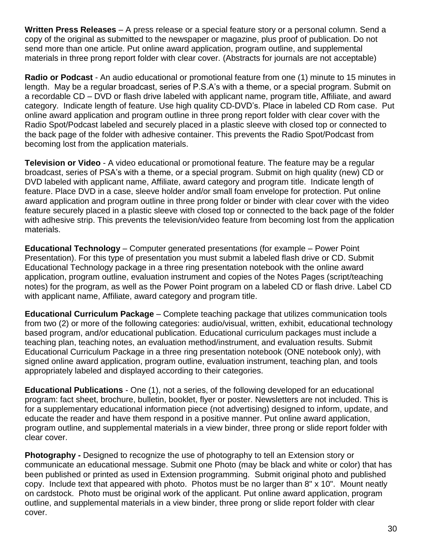**Written Press Releases** – A press release or a special feature story or a personal column. Send a copy of the original as submitted to the newspaper or magazine, plus proof of publication. Do not send more than one article. Put online award application, program outline, and supplemental materials in three prong report folder with clear cover. (Abstracts for journals are not acceptable)

**Radio or Podcast** - An audio educational or promotional feature from one (1) minute to 15 minutes in length. May be a regular broadcast, series of P.S.A's with a theme, or a special program. Submit on a recordable CD – DVD or flash drive labeled with applicant name, program title, Affiliate, and award category. Indicate length of feature. Use high quality CD-DVD's. Place in labeled CD Rom case. Put online award application and program outline in three prong report folder with clear cover with the Radio Spot/Podcast labeled and securely placed in a plastic sleeve with closed top or connected to the back page of the folder with adhesive container. This prevents the Radio Spot/Podcast from becoming lost from the application materials.

**Television or Video** - A video educational or promotional feature. The feature may be a regular broadcast, series of PSA's with a theme, or a special program. Submit on high quality (new) CD or DVD labeled with applicant name, Affiliate, award category and program title. Indicate length of feature. Place DVD in a case, sleeve holder and/or small foam envelope for protection. Put online award application and program outline in three prong folder or binder with clear cover with the video feature securely placed in a plastic sleeve with closed top or connected to the back page of the folder with adhesive strip. This prevents the television/video feature from becoming lost from the application materials.

**Educational Technology** – Computer generated presentations (for example – Power Point Presentation). For this type of presentation you must submit a labeled flash drive or CD. Submit Educational Technology package in a three ring presentation notebook with the online award application, program outline, evaluation instrument and copies of the Notes Pages (script/teaching notes) for the program, as well as the Power Point program on a labeled CD or flash drive. Label CD with applicant name, Affiliate, award category and program title.

**Educational Curriculum Package** – Complete teaching package that utilizes communication tools from two (2) or more of the following categories: audio/visual, written, exhibit, educational technology based program, and/or educational publication. Educational curriculum packages must include a teaching plan, teaching notes, an evaluation method/instrument, and evaluation results. Submit Educational Curriculum Package in a three ring presentation notebook (ONE notebook only), with signed online award application, program outline, evaluation instrument, teaching plan, and tools appropriately labeled and displayed according to their categories.

**Educational Publications** - One (1), not a series, of the following developed for an educational program: fact sheet, brochure, bulletin, booklet, flyer or poster. Newsletters are not included. This is for a supplementary educational information piece (not advertising) designed to inform, update, and educate the reader and have them respond in a positive manner. Put online award application, program outline, and supplemental materials in a view binder, three prong or slide report folder with clear cover.

**Photography -** Designed to recognize the use of photography to tell an Extension story or communicate an educational message. Submit one Photo (may be black and white or color) that has been published or printed as used in Extension programming. Submit original photo and published copy. Include text that appeared with photo. Photos must be no larger than 8" x 10". Mount neatly on cardstock. Photo must be original work of the applicant. Put online award application, program outline, and supplemental materials in a view binder, three prong or slide report folder with clear cover.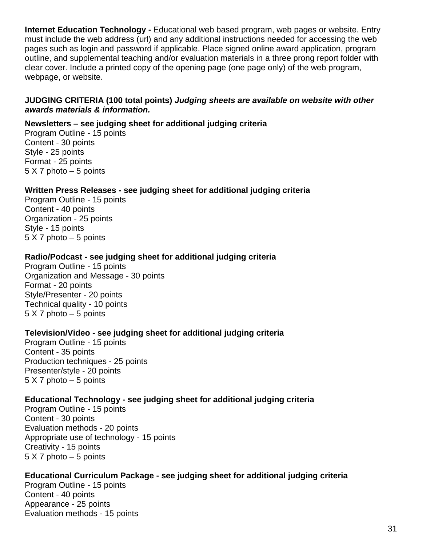**Internet Education Technology -** Educational web based program, web pages or website. Entry must include the web address (url) and any additional instructions needed for accessing the web pages such as login and password if applicable. Place signed online award application, program outline, and supplemental teaching and/or evaluation materials in a three prong report folder with clear cover. Include a printed copy of the opening page (one page only) of the web program, webpage, or website.

#### **JUDGING CRITERIA (100 total points)** *Judging sheets are available on website with other awards materials & information.*

#### **Newsletters – see judging sheet for additional judging criteria**

Program Outline - 15 points Content - 30 points Style - 25 points Format - 25 points 5 X 7 photo – 5 points

### **Written Press Releases - see judging sheet for additional judging criteria**

Program Outline - 15 points Content - 40 points Organization - 25 points Style - 15 points 5 X 7 photo – 5 points

#### **Radio/Podcast - see judging sheet for additional judging criteria**

Program Outline - 15 points Organization and Message - 30 points Format - 20 points Style/Presenter - 20 points Technical quality - 10 points 5 X 7 photo – 5 points

#### **Television/Video - see judging sheet for additional judging criteria**

Program Outline - 15 points Content - 35 points Production techniques - 25 points Presenter/style - 20 points 5 X 7 photo – 5 points

### **Educational Technology - see judging sheet for additional judging criteria**

Program Outline - 15 points Content - 30 points Evaluation methods - 20 points Appropriate use of technology - 15 points Creativity - 15 points 5 X 7 photo – 5 points

#### **Educational Curriculum Package - see judging sheet for additional judging criteria**

Program Outline - 15 points Content - 40 points Appearance - 25 points Evaluation methods - 15 points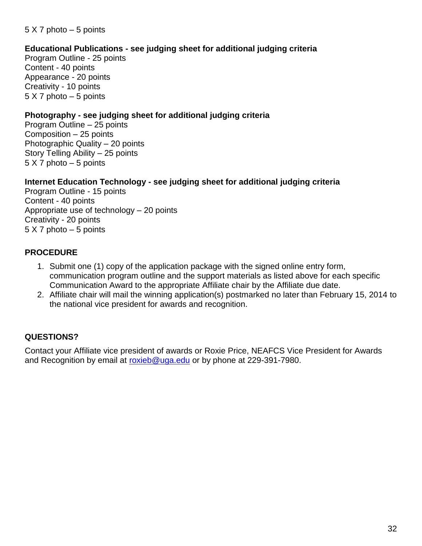## **Educational Publications - see judging sheet for additional judging criteria**

Program Outline - 25 points Content - 40 points Appearance - 20 points Creativity - 10 points 5 X 7 photo – 5 points

### **Photography - see judging sheet for additional judging criteria**

Program Outline – 25 points Composition – 25 points Photographic Quality – 20 points Story Telling Ability – 25 points 5 X 7 photo – 5 points

### **Internet Education Technology - see judging sheet for additional judging criteria**

Program Outline - 15 points Content - 40 points Appropriate use of technology – 20 points Creativity - 20 points 5 X 7 photo – 5 points

## **PROCEDURE**

- 1. Submit one (1) copy of the application package with the signed online entry form, communication program outline and the support materials as listed above for each specific Communication Award to the appropriate Affiliate chair by the Affiliate due date.
- 2. Affiliate chair will mail the winning application(s) postmarked no later than February 15, 2014 to the national vice president for awards and recognition.

## **QUESTIONS?**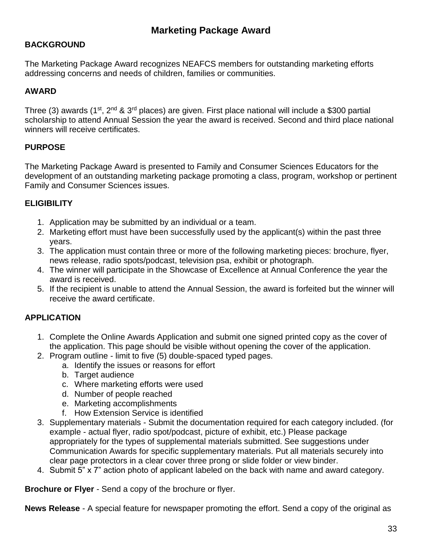## **BACKGROUND**

The Marketing Package Award recognizes NEAFCS members for outstanding marketing efforts addressing concerns and needs of children, families or communities.

## **AWARD**

Three (3) awards (1<sup>st</sup>, 2<sup>nd</sup> & 3<sup>rd</sup> places) are given. First place national will include a \$300 partial scholarship to attend Annual Session the year the award is received. Second and third place national winners will receive certificates.

## **PURPOSE**

The Marketing Package Award is presented to Family and Consumer Sciences Educators for the development of an outstanding marketing package promoting a class, program, workshop or pertinent Family and Consumer Sciences issues.

## **ELIGIBILITY**

- 1. Application may be submitted by an individual or a team.
- 2. Marketing effort must have been successfully used by the applicant(s) within the past three years.
- 3. The application must contain three or more of the following marketing pieces: brochure, flyer, news release, radio spots/podcast, television psa, exhibit or photograph.
- 4. The winner will participate in the Showcase of Excellence at Annual Conference the year the award is received.
- 5. If the recipient is unable to attend the Annual Session, the award is forfeited but the winner will receive the award certificate.

## **APPLICATION**

- 1. Complete the Online Awards Application and submit one signed printed copy as the cover of the application. This page should be visible without opening the cover of the application.
- 2. Program outline limit to five (5) double-spaced typed pages.
	- a. Identify the issues or reasons for effort
	- b. Target audience
	- c. Where marketing efforts were used
	- d. Number of people reached
	- e. Marketing accomplishments
	- f. How Extension Service is identified
- 3. Supplementary materials Submit the documentation required for each category included. (for example - actual flyer, radio spot/podcast, picture of exhibit, etc.) Please package appropriately for the types of supplemental materials submitted. See suggestions under Communication Awards for specific supplementary materials. Put all materials securely into clear page protectors in a clear cover three prong or slide folder or view binder.
- 4. Submit 5" x 7" action photo of applicant labeled on the back with name and award category.

**Brochure or Flyer** - Send a copy of the brochure or flyer.

**News Release** - A special feature for newspaper promoting the effort. Send a copy of the original as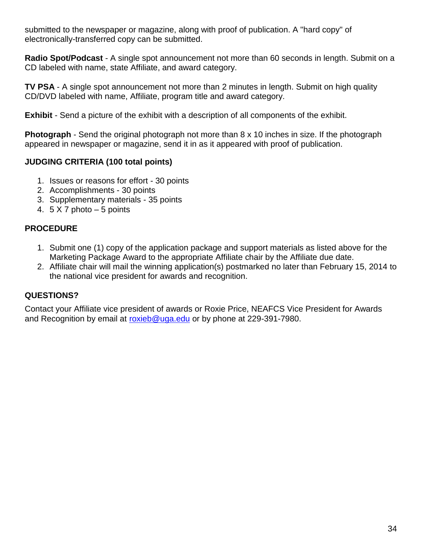submitted to the newspaper or magazine, along with proof of publication. A "hard copy" of electronically-transferred copy can be submitted.

**Radio Spot/Podcast** - A single spot announcement not more than 60 seconds in length. Submit on a CD labeled with name, state Affiliate, and award category.

**TV PSA** - A single spot announcement not more than 2 minutes in length. Submit on high quality CD/DVD labeled with name, Affiliate, program title and award category.

**Exhibit** - Send a picture of the exhibit with a description of all components of the exhibit.

**Photograph** - Send the original photograph not more than 8 x 10 inches in size. If the photograph appeared in newspaper or magazine, send it in as it appeared with proof of publication.

## **JUDGING CRITERIA (100 total points)**

- 1. Issues or reasons for effort 30 points
- 2. Accomplishments 30 points
- 3. Supplementary materials 35 points
- 4.  $5 \times 7$  photo  $-5$  points

## **PROCEDURE**

- 1. Submit one (1) copy of the application package and support materials as listed above for the Marketing Package Award to the appropriate Affiliate chair by the Affiliate due date.
- 2. Affiliate chair will mail the winning application(s) postmarked no later than February 15, 2014 to the national vice president for awards and recognition.

## **QUESTIONS?**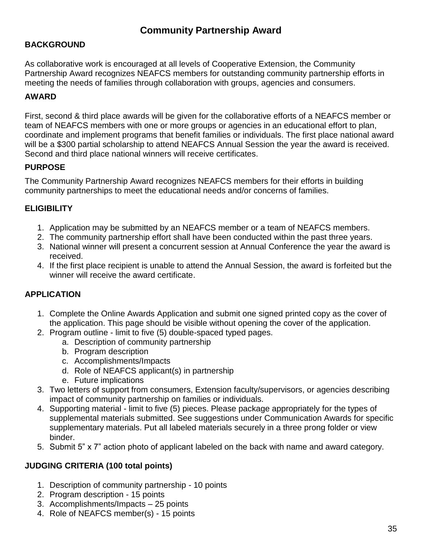## **Community Partnership Award**

## **BACKGROUND**

As collaborative work is encouraged at all levels of Cooperative Extension, the Community Partnership Award recognizes NEAFCS members for outstanding community partnership efforts in meeting the needs of families through collaboration with groups, agencies and consumers.

### **AWARD**

First, second & third place awards will be given for the collaborative efforts of a NEAFCS member or team of NEAFCS members with one or more groups or agencies in an educational effort to plan, coordinate and implement programs that benefit families or individuals. The first place national award will be a \$300 partial scholarship to attend NEAFCS Annual Session the year the award is received. Second and third place national winners will receive certificates.

### **PURPOSE**

The Community Partnership Award recognizes NEAFCS members for their efforts in building community partnerships to meet the educational needs and/or concerns of families.

## **ELIGIBILITY**

- 1. Application may be submitted by an NEAFCS member or a team of NEAFCS members.
- 2. The community partnership effort shall have been conducted within the past three years.
- 3. National winner will present a concurrent session at Annual Conference the year the award is received.
- 4. If the first place recipient is unable to attend the Annual Session, the award is forfeited but the winner will receive the award certificate.

### **APPLICATION**

- 1. Complete the Online Awards Application and submit one signed printed copy as the cover of the application. This page should be visible without opening the cover of the application.
- 2. Program outline limit to five (5) double-spaced typed pages.
	- a. Description of community partnership
	- b. Program description
	- c. Accomplishments/Impacts
	- d. Role of NEAFCS applicant(s) in partnership
	- e. Future implications
- 3. Two letters of support from consumers, Extension faculty/supervisors, or agencies describing impact of community partnership on families or individuals.
- 4. Supporting material limit to five (5) pieces. Please package appropriately for the types of supplemental materials submitted. See suggestions under Communication Awards for specific supplementary materials. Put all labeled materials securely in a three prong folder or view binder.
- 5. Submit 5" x 7" action photo of applicant labeled on the back with name and award category.

### **JUDGING CRITERIA (100 total points)**

- 1. Description of community partnership 10 points
- 2. Program description 15 points
- 3. Accomplishments/Impacts 25 points
- 4. Role of NEAFCS member(s) 15 points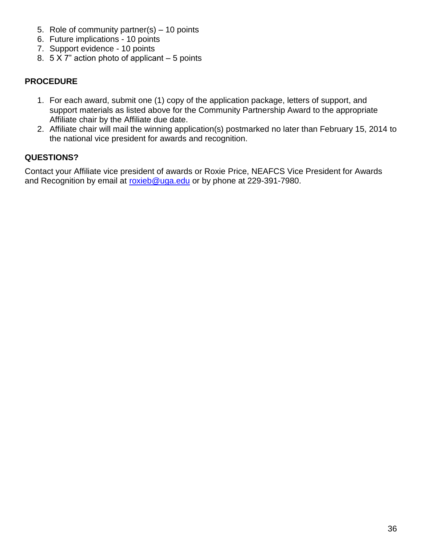- 5. Role of community partner(s) 10 points
- 6. Future implications 10 points
- 7. Support evidence 10 points
- 8.  $5 \times 7$ " action photo of applicant  $-5$  points

- 1. For each award, submit one (1) copy of the application package, letters of support, and support materials as listed above for the Community Partnership Award to the appropriate Affiliate chair by the Affiliate due date.
- 2. Affiliate chair will mail the winning application(s) postmarked no later than February 15, 2014 to the national vice president for awards and recognition.

## **QUESTIONS?**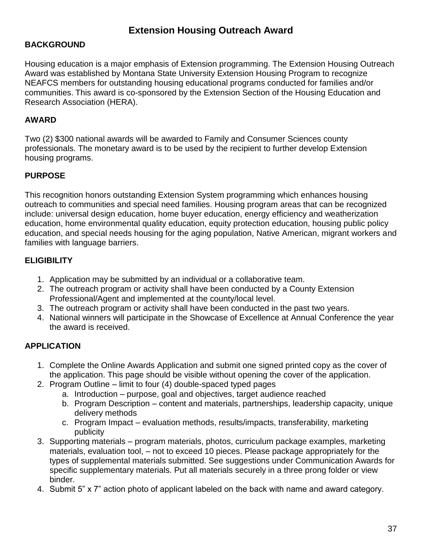## **Extension Housing Outreach Award**

## **BACKGROUND**

Housing education is a major emphasis of Extension programming. The Extension Housing Outreach Award was established by Montana State University Extension Housing Program to recognize NEAFCS members for outstanding housing educational programs conducted for families and/or communities. This award is co-sponsored by the Extension Section of the Housing Education and Research Association (HERA).

## **AWARD**

Two (2) \$300 national awards will be awarded to Family and Consumer Sciences county professionals. The monetary award is to be used by the recipient to further develop Extension housing programs.

## **PURPOSE**

This recognition honors outstanding Extension System programming which enhances housing outreach to communities and special need families. Housing program areas that can be recognized include: universal design education, home buyer education, energy efficiency and weatherization education, home environmental quality education, equity protection education, housing public policy education, and special needs housing for the aging population, Native American, migrant workers and families with language barriers.

## **ELIGIBILITY**

- 1. Application may be submitted by an individual or a collaborative team.
- 2. The outreach program or activity shall have been conducted by a County Extension Professional/Agent and implemented at the county/local level.
- 3. The outreach program or activity shall have been conducted in the past two years.
- 4. National winners will participate in the Showcase of Excellence at Annual Conference the year the award is received.

## **APPLICATION**

- 1. Complete the Online Awards Application and submit one signed printed copy as the cover of the application. This page should be visible without opening the cover of the application.
- 2. Program Outline limit to four (4) double-spaced typed pages
	- a. Introduction purpose, goal and objectives, target audience reached
	- b. Program Description content and materials, partnerships, leadership capacity, unique delivery methods
	- c. Program Impact evaluation methods, results/impacts, transferability, marketing publicity
- 3. Supporting materials program materials, photos, curriculum package examples, marketing materials, evaluation tool, – not to exceed 10 pieces. Please package appropriately for the types of supplemental materials submitted. See suggestions under Communication Awards for specific supplementary materials. Put all materials securely in a three prong folder or view binder.
- 4. Submit 5" x 7" action photo of applicant labeled on the back with name and award category.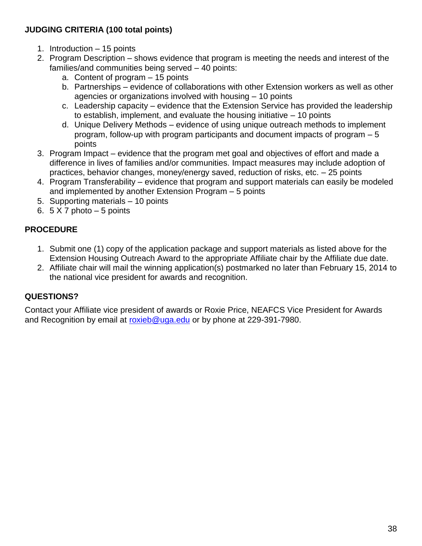## **JUDGING CRITERIA (100 total points)**

- 1. Introduction 15 points
- 2. Program Description shows evidence that program is meeting the needs and interest of the families/and communities being served – 40 points:
	- a. Content of program 15 points
	- b. Partnerships evidence of collaborations with other Extension workers as well as other agencies or organizations involved with housing – 10 points
	- c. Leadership capacity evidence that the Extension Service has provided the leadership to establish, implement, and evaluate the housing initiative – 10 points
	- d. Unique Delivery Methods evidence of using unique outreach methods to implement program, follow-up with program participants and document impacts of program – 5 points
- 3. Program Impact evidence that the program met goal and objectives of effort and made a difference in lives of families and/or communities. Impact measures may include adoption of practices, behavior changes, money/energy saved, reduction of risks, etc. – 25 points
- 4. Program Transferability evidence that program and support materials can easily be modeled and implemented by another Extension Program – 5 points
- 5. Supporting materials 10 points
- 6.  $5 \times 7$  photo  $-5$  points

## **PROCEDURE**

- 1. Submit one (1) copy of the application package and support materials as listed above for the Extension Housing Outreach Award to the appropriate Affiliate chair by the Affiliate due date.
- 2. Affiliate chair will mail the winning application(s) postmarked no later than February 15, 2014 to the national vice president for awards and recognition.

## **QUESTIONS?**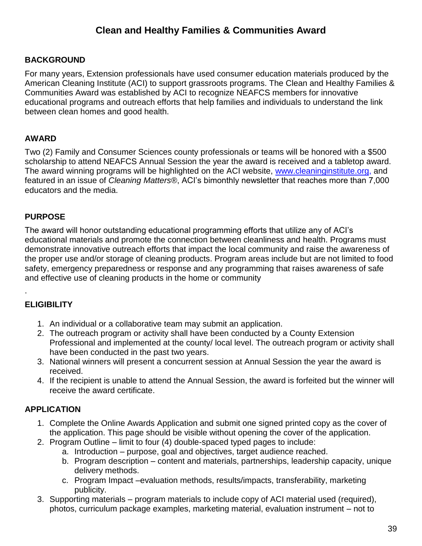# **Clean and Healthy Families & Communities Award**

### **BACKGROUND**

For many years, Extension professionals have used consumer education materials produced by the American Cleaning Institute (ACI) to support grassroots programs. The Clean and Healthy Families & Communities Award was established by ACI to recognize NEAFCS members for innovative educational programs and outreach efforts that help families and individuals to understand the link between clean homes and good health.

#### **AWARD**

Two (2) Family and Consumer Sciences county professionals or teams will be honored with a \$500 scholarship to attend NEAFCS Annual Session the year the award is received and a tabletop award. The award winning programs will be highlighted on the ACI website, [www.cleaninginstitute.org,](http://www.cleaninginstitute.org/) and featured in an issue of *Cleaning Matters®*, ACI's bimonthly newsletter that reaches more than 7,000 educators and the media.

#### **PURPOSE**

The award will honor outstanding educational programming efforts that utilize any of ACI's educational materials and promote the connection between cleanliness and health. Programs must demonstrate innovative outreach efforts that impact the local community and raise the awareness of the proper use and/or storage of cleaning products. Program areas include but are not limited to food safety, emergency preparedness or response and any programming that raises awareness of safe and effective use of cleaning products in the home or community

### **ELIGIBILITY**

.

- 1. An individual or a collaborative team may submit an application.
- 2. The outreach program or activity shall have been conducted by a County Extension Professional and implemented at the county/ local level. The outreach program or activity shall have been conducted in the past two years.
- 3. National winners will present a concurrent session at Annual Session the year the award is received.
- 4. If the recipient is unable to attend the Annual Session, the award is forfeited but the winner will receive the award certificate.

### **APPLICATION**

- 1. Complete the Online Awards Application and submit one signed printed copy as the cover of the application. This page should be visible without opening the cover of the application.
- 2. Program Outline limit to four (4) double-spaced typed pages to include:
	- a. Introduction purpose, goal and objectives, target audience reached.
		- b. Program description content and materials, partnerships, leadership capacity, unique delivery methods.
		- c. Program Impact –evaluation methods, results/impacts, transferability, marketing publicity.
- 3. Supporting materials program materials to include copy of ACI material used (required), photos, curriculum package examples, marketing material, evaluation instrument – not to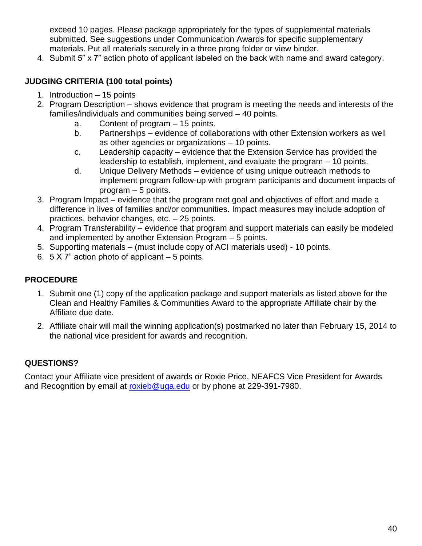exceed 10 pages. Please package appropriately for the types of supplemental materials submitted. See suggestions under Communication Awards for specific supplementary materials. Put all materials securely in a three prong folder or view binder.

4. Submit 5" x 7" action photo of applicant labeled on the back with name and award category.

## **JUDGING CRITERIA (100 total points)**

- 1. Introduction 15 points
- 2. Program Description shows evidence that program is meeting the needs and interests of the families/individuals and communities being served – 40 points.
	- a. Content of program 15 points.
	- b. Partnerships evidence of collaborations with other Extension workers as well as other agencies or organizations – 10 points.
	- c. Leadership capacity evidence that the Extension Service has provided the leadership to establish, implement, and evaluate the program – 10 points.
	- d. Unique Delivery Methods evidence of using unique outreach methods to implement program follow-up with program participants and document impacts of program – 5 points.
- 3. Program Impact evidence that the program met goal and objectives of effort and made a difference in lives of families and/or communities. Impact measures may include adoption of practices, behavior changes, etc. – 25 points.
- 4. Program Transferability evidence that program and support materials can easily be modeled and implemented by another Extension Program – 5 points.
- 5. Supporting materials (must include copy of ACI materials used) 10 points.
- 6. 5 X 7" action photo of applicant 5 points.

## **PROCEDURE**

- 1. Submit one (1) copy of the application package and support materials as listed above for the Clean and Healthy Families & Communities Award to the appropriate Affiliate chair by the Affiliate due date.
- 2. Affiliate chair will mail the winning application(s) postmarked no later than February 15, 2014 to the national vice president for awards and recognition.

## **QUESTIONS?**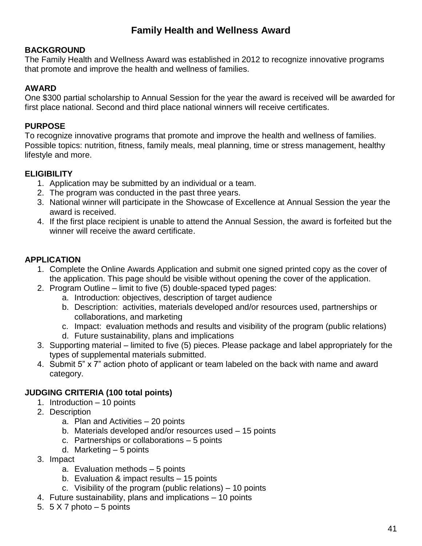# **Family Health and Wellness Award**

## **BACKGROUND**

The Family Health and Wellness Award was established in 2012 to recognize innovative programs that promote and improve the health and wellness of families.

## **AWARD**

One \$300 partial scholarship to Annual Session for the year the award is received will be awarded for first place national. Second and third place national winners will receive certificates.

## **PURPOSE**

To recognize innovative programs that promote and improve the health and wellness of families. Possible topics: nutrition, fitness, family meals, meal planning, time or stress management, healthy lifestyle and more.

## **ELIGIBILITY**

- 1. Application may be submitted by an individual or a team.
- 2. The program was conducted in the past three years.
- 3. National winner will participate in the Showcase of Excellence at Annual Session the year the award is received.
- 4. If the first place recipient is unable to attend the Annual Session, the award is forfeited but the winner will receive the award certificate.

## **APPLICATION**

- 1. Complete the Online Awards Application and submit one signed printed copy as the cover of the application. This page should be visible without opening the cover of the application.
- 2. Program Outline limit to five (5) double-spaced typed pages:
	- a. Introduction: objectives, description of target audience
	- b. Description: activities, materials developed and/or resources used, partnerships or collaborations, and marketing
	- c. Impact: evaluation methods and results and visibility of the program (public relations)
	- d. Future sustainability, plans and implications
- 3. Supporting material limited to five (5) pieces. Please package and label appropriately for the types of supplemental materials submitted.
- 4. Submit 5" x 7" action photo of applicant or team labeled on the back with name and award category.

### **JUDGING CRITERIA (100 total points)**

- 1. Introduction 10 points
- 2. Description
	- a. Plan and Activities 20 points
	- b. Materials developed and/or resources used 15 points
	- c. Partnerships or collaborations 5 points
	- d. Marketing 5 points
- 3. Impact
	- a. Evaluation methods 5 points
	- b. Evaluation & impact results 15 points
	- c. Visibility of the program (public relations) 10 points
- 4. Future sustainability, plans and implications 10 points
- 5.  $5 \times 7$  photo  $-5$  points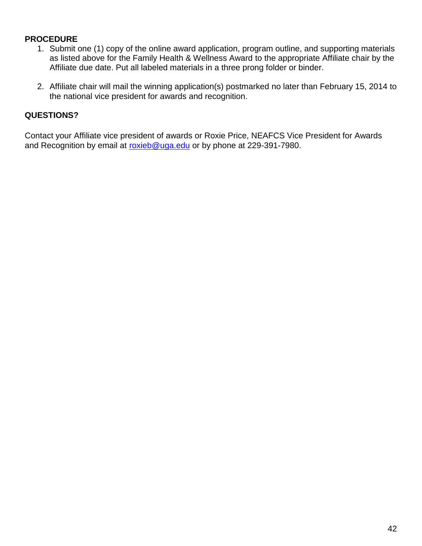- 1. Submit one (1) copy of the online award application, program outline, and supporting materials as listed above for the Family Health & Wellness Award to the appropriate Affiliate chair by the Affiliate due date. Put all labeled materials in a three prong folder or binder.
- 2. Affiliate chair will mail the winning application(s) postmarked no later than February 15, 2014 to the national vice president for awards and recognition.

### **QUESTIONS?**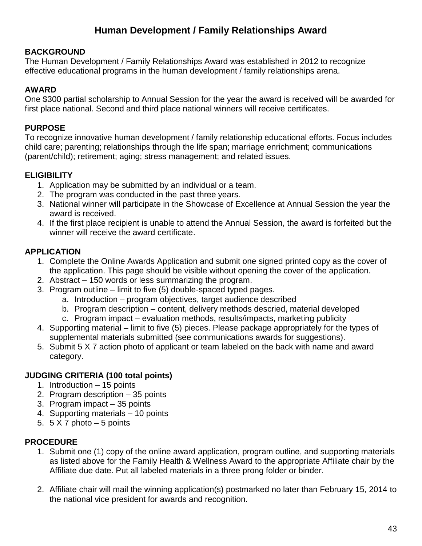# **Human Development / Family Relationships Award**

### **BACKGROUND**

The Human Development / Family Relationships Award was established in 2012 to recognize effective educational programs in the human development / family relationships arena.

#### **AWARD**

One \$300 partial scholarship to Annual Session for the year the award is received will be awarded for first place national. Second and third place national winners will receive certificates.

#### **PURPOSE**

To recognize innovative human development / family relationship educational efforts. Focus includes child care; parenting; relationships through the life span; marriage enrichment; communications (parent/child); retirement; aging; stress management; and related issues.

### **ELIGIBILITY**

- 1. Application may be submitted by an individual or a team.
- 2. The program was conducted in the past three years.
- 3. National winner will participate in the Showcase of Excellence at Annual Session the year the award is received.
- 4. If the first place recipient is unable to attend the Annual Session, the award is forfeited but the winner will receive the award certificate.

### **APPLICATION**

- 1. Complete the Online Awards Application and submit one signed printed copy as the cover of the application. This page should be visible without opening the cover of the application.
- 2. Abstract 150 words or less summarizing the program.
- 3. Program outline limit to five (5) double-spaced typed pages.
	- a. Introduction program objectives, target audience described
	- b. Program description content, delivery methods descried, material developed
	- c. Program impact evaluation methods, results/impacts, marketing publicity
- 4. Supporting material limit to five (5) pieces. Please package appropriately for the types of supplemental materials submitted (see communications awards for suggestions).
- 5. Submit 5 X 7 action photo of applicant or team labeled on the back with name and award category.

#### **JUDGING CRITERIA (100 total points)**

- 1. Introduction 15 points
- 2. Program description 35 points
- 3. Program impact 35 points
- 4. Supporting materials 10 points
- 5.  $5 \times 7$  photo  $-5$  points

#### **PROCEDURE**

- 1. Submit one (1) copy of the online award application, program outline, and supporting materials as listed above for the Family Health & Wellness Award to the appropriate Affiliate chair by the Affiliate due date. Put all labeled materials in a three prong folder or binder.
- 2. Affiliate chair will mail the winning application(s) postmarked no later than February 15, 2014 to the national vice president for awards and recognition.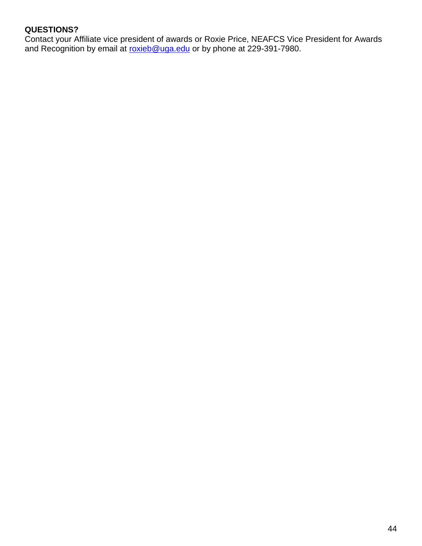## **QUESTIONS?**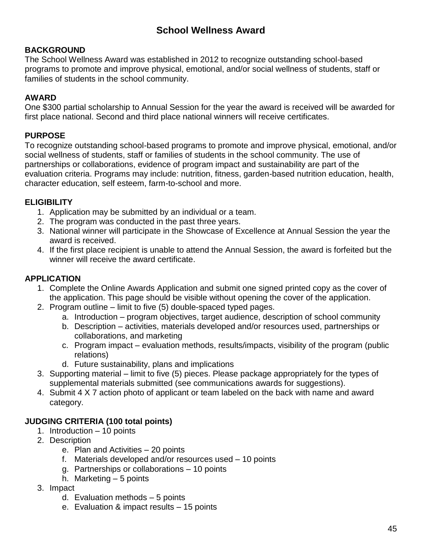# **School Wellness Award**

### **BACKGROUND**

The School Wellness Award was established in 2012 to recognize outstanding school-based programs to promote and improve physical, emotional, and/or social wellness of students, staff or families of students in the school community.

### **AWARD**

One \$300 partial scholarship to Annual Session for the year the award is received will be awarded for first place national. Second and third place national winners will receive certificates.

## **PURPOSE**

To recognize outstanding school-based programs to promote and improve physical, emotional, and/or social wellness of students, staff or families of students in the school community. The use of partnerships or collaborations, evidence of program impact and sustainability are part of the evaluation criteria. Programs may include: nutrition, fitness, garden-based nutrition education, health, character education, self esteem, farm-to-school and more.

## **ELIGIBILITY**

- 1. Application may be submitted by an individual or a team.
- 2. The program was conducted in the past three years.
- 3. National winner will participate in the Showcase of Excellence at Annual Session the year the award is received.
- 4. If the first place recipient is unable to attend the Annual Session, the award is forfeited but the winner will receive the award certificate.

## **APPLICATION**

- 1. Complete the Online Awards Application and submit one signed printed copy as the cover of the application. This page should be visible without opening the cover of the application.
- 2. Program outline limit to five (5) double-spaced typed pages.
	- a. Introduction program objectives, target audience, description of school community
	- b. Description activities, materials developed and/or resources used, partnerships or collaborations, and marketing
	- c. Program impact evaluation methods, results/impacts, visibility of the program (public relations)
	- d. Future sustainability, plans and implications
- 3. Supporting material limit to five (5) pieces. Please package appropriately for the types of supplemental materials submitted (see communications awards for suggestions).
- 4. Submit 4 X 7 action photo of applicant or team labeled on the back with name and award category.

### **JUDGING CRITERIA (100 total points)**

- 1. Introduction 10 points
- 2. Description
	- e. Plan and Activities 20 points
	- f. Materials developed and/or resources used 10 points
	- g. Partnerships or collaborations 10 points
	- h. Marketing 5 points
- 3. Impact
	- d. Evaluation methods 5 points
	- e. Evaluation & impact results 15 points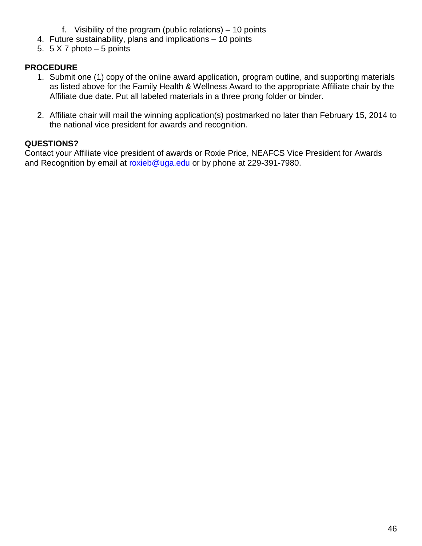- f. Visibility of the program (public relations) 10 points
- 4. Future sustainability, plans and implications 10 points
- 5.  $5 \times 7$  photo  $-5$  points

- 1. Submit one (1) copy of the online award application, program outline, and supporting materials as listed above for the Family Health & Wellness Award to the appropriate Affiliate chair by the Affiliate due date. Put all labeled materials in a three prong folder or binder.
- 2. Affiliate chair will mail the winning application(s) postmarked no later than February 15, 2014 to the national vice president for awards and recognition.

## **QUESTIONS?**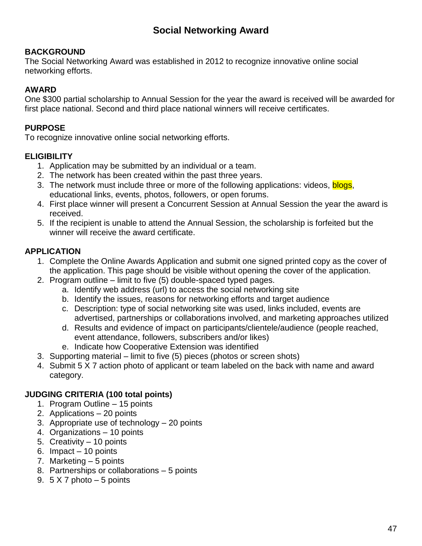# **Social Networking Award**

### **BACKGROUND**

The Social Networking Award was established in 2012 to recognize innovative online social networking efforts.

### **AWARD**

One \$300 partial scholarship to Annual Session for the year the award is received will be awarded for first place national. Second and third place national winners will receive certificates.

### **PURPOSE**

To recognize innovative online social networking efforts.

### **ELIGIBILITY**

- 1. Application may be submitted by an individual or a team.
- 2. The network has been created within the past three years.
- 3. The network must include three or more of the following applications: videos, blogs, educational links, events, photos, followers, or open forums.
- 4. First place winner will present a Concurrent Session at Annual Session the year the award is received.
- 5. If the recipient is unable to attend the Annual Session, the scholarship is forfeited but the winner will receive the award certificate.

## **APPLICATION**

- 1. Complete the Online Awards Application and submit one signed printed copy as the cover of the application. This page should be visible without opening the cover of the application.
- 2. Program outline limit to five (5) double-spaced typed pages.
	- a. Identify web address (url) to access the social networking site
	- b. Identify the issues, reasons for networking efforts and target audience
	- c. Description: type of social networking site was used, links included, events are advertised, partnerships or collaborations involved, and marketing approaches utilized
	- d. Results and evidence of impact on participants/clientele/audience (people reached, event attendance, followers, subscribers and/or likes)
	- e. Indicate how Cooperative Extension was identified
- 3. Supporting material limit to five (5) pieces (photos or screen shots)
- 4. Submit 5 X 7 action photo of applicant or team labeled on the back with name and award category.

### **JUDGING CRITERIA (100 total points)**

- 1. Program Outline 15 points
- 2. Applications 20 points
- 3. Appropriate use of technology 20 points
- 4. Organizations 10 points
- 5. Creativity 10 points
- 6. Impact 10 points
- 7. Marketing 5 points
- 8. Partnerships or collaborations 5 points
- 9.  $5 \times 7$  photo  $-5$  points